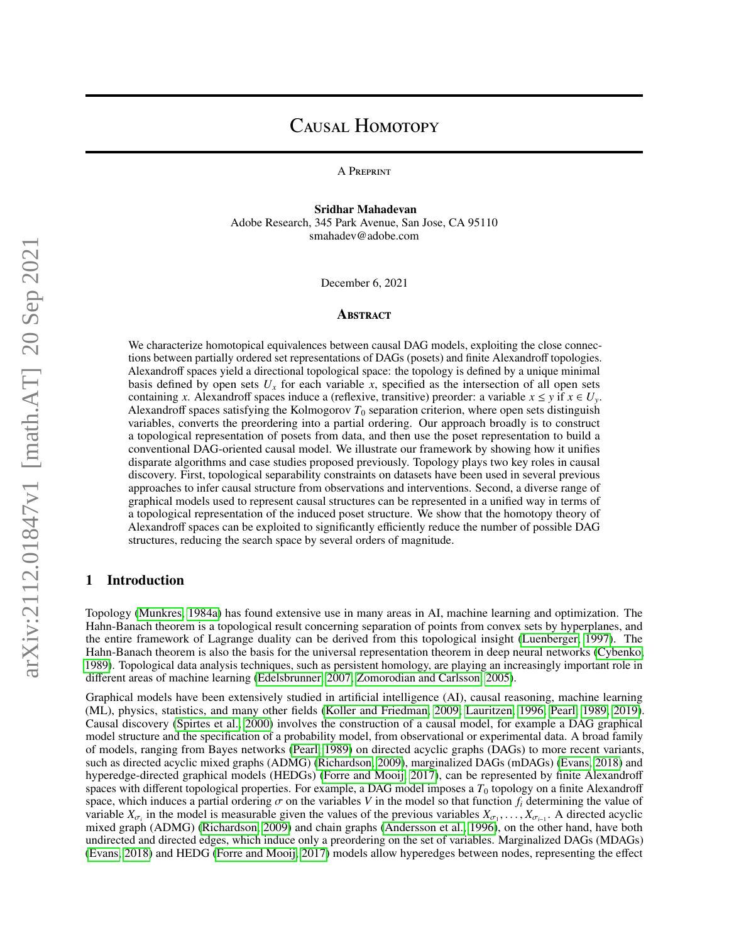# CAUSAL HOMOTOPY

A Preprint

Sridhar Mahadevan Adobe Research, 345 Park Avenue, San Jose, CA 95110 smahadev@adobe.com

December 6, 2021

#### **ABSTRACT**

We characterize homotopical equivalences between causal DAG models, exploiting the close connections between partially ordered set representations of DAGs (posets) and finite Alexandroff topologies. Alexandroff spaces yield a directional topological space: the topology is defined by a unique minimal basis defined by open sets  $U_x$  for each variable  $x$ , specified as the intersection of all open sets containing *x*. Alexandroff spaces induce a (reflexive, transitive) preorder: a variable  $x \le y$  if  $x \in U_y$ . Alexandroff spaces satisfying the Kolmogorov  $T_0$  separation criterion, where open sets distinguish variables, converts the preordering into a partial ordering. Our approach broadly is to construct a topological representation of posets from data, and then use the poset representation to build a conventional DAG-oriented causal model. We illustrate our framework by showing how it unifies disparate algorithms and case studies proposed previously. Topology plays two key roles in causal discovery. First, topological separability constraints on datasets have been used in several previous approaches to infer causal structure from observations and interventions. Second, a diverse range of graphical models used to represent causal structures can be represented in a unified way in terms of a topological representation of the induced poset structure. We show that the homotopy theory of Alexandroff spaces can be exploited to significantly efficiently reduce the number of possible DAG structures, reducing the search space by several orders of magnitude.

# 1 Introduction

Topology [\(Munkres, 1984a\)](#page-15-0) has found extensive use in many areas in AI, machine learning and optimization. The Hahn-Banach theorem is a topological result concerning separation of points from convex sets by hyperplanes, and the entire framework of Lagrange duality can be derived from this topological insight [\(Luenberger, 1997\)](#page-15-1). The Hahn-Banach theorem is also the basis for the universal representation theorem in deep neural networks [\(Cybenko,](#page-15-2) [1989\)](#page-15-2). Topological data analysis techniques, such as persistent homology, are playing an increasingly important role in different areas of machine learning [\(Edelsbrunner, 2007;](#page-15-3) [Zomorodian and Carlsson, 2005\)](#page-15-4).

Graphical models have been extensively studied in artificial intelligence (AI), causal reasoning, machine learning (ML), physics, statistics, and many other fields [\(Koller and Friedman, 2009;](#page-15-5) [Lauritzen, 1996;](#page-15-6) [Pearl, 1989,](#page-15-7) [2019\)](#page-15-8). Causal discovery [\(Spirtes et al., 2000\)](#page-15-9) involves the construction of a causal model, for example a DAG graphical model structure and the specification of a probability model, from observational or experimental data. A broad family of models, ranging from Bayes networks [\(Pearl, 1989\)](#page-15-7) on directed acyclic graphs (DAGs) to more recent variants, such as directed acyclic mixed graphs (ADMG) [\(Richardson, 2009\)](#page-15-10), marginalized DAGs (mDAGs) [\(Evans, 2018\)](#page-15-11) and hyperedge-directed graphical models (HEDGs) [\(Forre and Mooij, 2017\)](#page-15-12), can be represented by finite Alexandroff spaces with different topological properties. For example, a DAG model imposes a  $T_0$  topology on a finite Alexandroff space, which induces a partial ordering  $\sigma$  on the variables V in the model so that function  $f_i$  determining the value of variable  $X_{\sigma_i}$  in the model is measurable given the values of the previous variables  $X_{\sigma_1}, \ldots, X_{\sigma_{i-1}}$ . A directed acyclic mixed graph (ADMG) (Richardson 2009) and chain graphs (Andersson et al. 1996) on the other mixed graph (ADMG) [\(Richardson, 2009\)](#page-15-10) and chain graphs [\(Andersson et al., 1996\)](#page-15-13), on the other hand, have both undirected and directed edges, which induce only a preordering on the set of variables. Marginalized DAGs (MDAGs) [\(Evans, 2018\)](#page-15-11) and HEDG [\(Forre and Mooij, 2017\)](#page-15-12) models allow hyperedges between nodes, representing the effect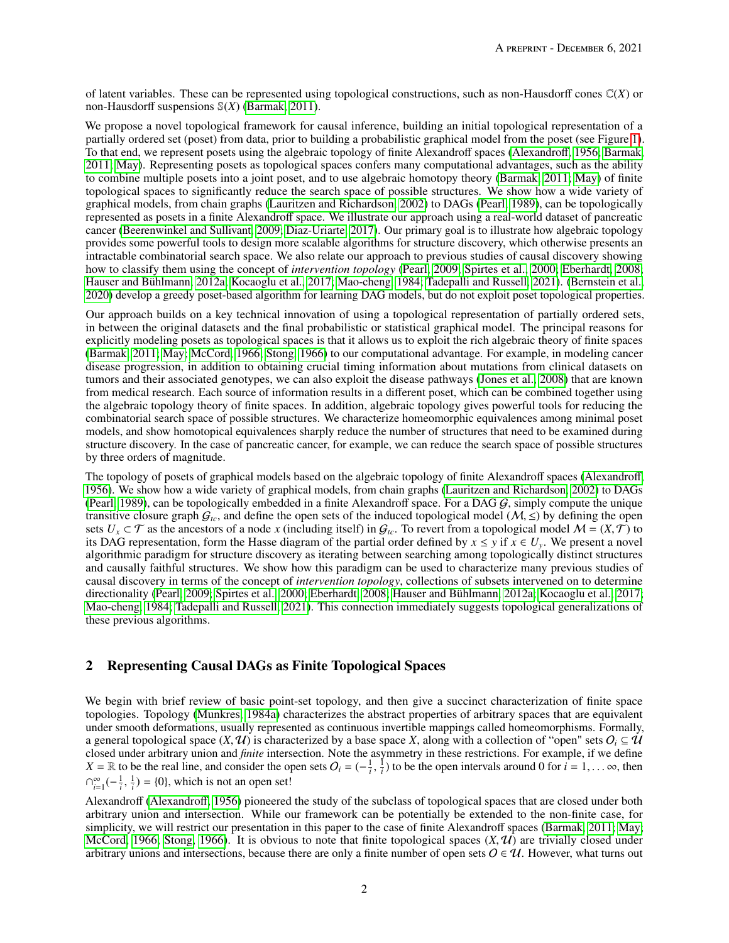of latent variables. These can be represented using topological constructions, such as non-Hausdorff cones C(*X*) or non-Hausdorff suspensions S(*X*) [\(Barmak, 2011\)](#page-15-14).

We propose a novel topological framework for causal inference, building an initial topological representation of a partially ordered set (poset) from data, prior to building a probabilistic graphical model from the poset (see Figure [1\)](#page-4-0). To that end, we represent posets using the algebraic topology of finite Alexandroff spaces [\(Alexandro](#page-15-15)ff, [1956;](#page-15-16) [Barmak,](#page-15-14) [2011;](#page-15-14) [May\)](#page-15-17). Representing posets as topological spaces confers many computational advantages, such as the ability to combine multiple posets into a joint poset, and to use algebraic homotopy theory [\(Barmak, 2011;](#page-15-14) [May\)](#page-15-17) of finite topological spaces to significantly reduce the search space of possible structures. We show how a wide variety of graphical models, from chain graphs [\(Lauritzen and Richardson, 2002\)](#page-15-18) to DAGs [\(Pearl, 1989\)](#page-15-7), can be topologically represented as posets in a finite Alexandroff space. We illustrate our approach using a real-world dataset of pancreatic cancer [\(Beerenwinkel and Sullivant, 2009;](#page-15-19) [Diaz-Uriarte, 2017\)](#page-15-20). Our primary goal is to illustrate how algebraic topology provides some powerful tools to design more scalable algorithms for structure discovery, which otherwise presents an intractable combinatorial search space. We also relate our approach to previous studies of causal discovery showing how to classify them using the concept of *intervention topology* [\(Pearl, 2009;](#page-15-21) [Spirtes et al., 2000;](#page-15-9) [Eberhardt, 2008;](#page-15-22) [Hauser and Bühlmann, 2012a;](#page-16-0) [Kocaoglu et al., 2017;](#page-16-1) [Mao-cheng, 1984;](#page-16-2) [Tadepalli and Russell, 2021\)](#page-16-3). [\(Bernstein et al.,](#page-16-4) [2020\)](#page-16-4) develop a greedy poset-based algorithm for learning DAG models, but do not exploit poset topological properties.

Our approach builds on a key technical innovation of using a topological representation of partially ordered sets, in between the original datasets and the final probabilistic or statistical graphical model. The principal reasons for explicitly modeling posets as topological spaces is that it allows us to exploit the rich algebraic theory of finite spaces [\(Barmak, 2011;](#page-15-14) [May;](#page-15-17) [McCord, 1966;](#page-16-5) [Stong, 1966\)](#page-16-6) to our computational advantage. For example, in modeling cancer disease progression, in addition to obtaining crucial timing information about mutations from clinical datasets on tumors and their associated genotypes, we can also exploit the disease pathways [\(Jones et al., 2008\)](#page-16-7) that are known from medical research. Each source of information results in a different poset, which can be combined together using the algebraic topology theory of finite spaces. In addition, algebraic topology gives powerful tools for reducing the combinatorial search space of possible structures. We characterize homeomorphic equivalences among minimal poset models, and show homotopical equivalences sharply reduce the number of structures that need to be examined during structure discovery. In the case of pancreatic cancer, for example, we can reduce the search space of possible structures by three orders of magnitude.

The topology of posets of graphical models based on the algebraic topology of finite Alexandroff spaces [\(Alexandro](#page-15-15)ff, [1956\)](#page-15-16). We show how a wide variety of graphical models, from chain graphs [\(Lauritzen and Richardson, 2002\)](#page-15-18) to DAGs [\(Pearl, 1989\)](#page-15-7), can be topologically embedded in a finite Alexandroff space. For a DAG  $G$ , simply compute the unique transitive closure graph  $G_{tc}$ , and define the open sets of the induced topological model ( $M$ ,  $\leq$ ) by defining the open sets  $U_x \subset \mathcal{T}$  as the ancestors of a node *x* (including itself) in  $\mathcal{G}_{tc}$ . To revert from a topological model  $\mathcal{M} = (X, \mathcal{T})$  to its DAG representation, form the Hasse diagram of the partial order defined by  $x \le y$  if  $x \in U_y$ . We present a novel algorithmic paradigm for structure discovery as iterating between searching among topologically distinct structures and causally faithful structures. We show how this paradigm can be used to characterize many previous studies of causal discovery in terms of the concept of *intervention topology*, collections of subsets intervened on to determine directionality [\(Pearl, 2009;](#page-15-21) [Spirtes et al., 2000;](#page-15-9) [Eberhardt, 2008;](#page-15-22) [Hauser and Bühlmann, 2012a;](#page-16-0) [Kocaoglu et al., 2017;](#page-16-1) [Mao-cheng, 1984;](#page-16-2) [Tadepalli and Russell, 2021\)](#page-16-3). This connection immediately suggests topological generalizations of these previous algorithms.

# <span id="page-1-0"></span>2 Representing Causal DAGs as Finite Topological Spaces

We begin with brief review of basic point-set topology, and then give a succinct characterization of finite space topologies. Topology [\(Munkres, 1984a\)](#page-15-0) characterizes the abstract properties of arbitrary spaces that are equivalent under smooth deformations, usually represented as continuous invertible mappings called homeomorphisms. Formally, a general topological space  $(X, \mathcal{U})$  is characterized by a base space *X*, along with a collection of "open" sets  $O_i \subseteq \mathcal{U}$ closed under arbitrary union and *finite* intersection. Note the asymmetry in these restrictions. For example, if we define  $X = \mathbb{R}$  to be the real line, and consider the open sets  $O_i = (-\frac{1}{i}, \infty)$  $\frac{1}{i}$  to be the open intervals around 0 for  $i = 1, \dots \infty$ , then  $\bigcap_{i=1}^{\infty}(-\frac{1}{i},$  $\frac{1}{i}$ ) = {0}, which is not an open set!

Alexandroff [\(Alexandro](#page-15-15)ff, [1956\)](#page-15-16) pioneered the study of the subclass of topological spaces that are closed under both arbitrary union and intersection. While our framework can be potentially be extended to the non-finite case, for simplicity, we will restrict our presentation in this paper to the case of finite Alexandroff spaces [\(Barmak, 2011;](#page-15-14) [May;](#page-15-17) [McCord, 1966;](#page-16-5) [Stong, 1966\)](#page-16-6). It is obvious to note that finite topological spaces  $(X, \mathcal{U})$  are trivially closed under arbitrary unions and intersections, because there are only a finite number of open sets  $O \in \mathcal{U}$ . However, what turns out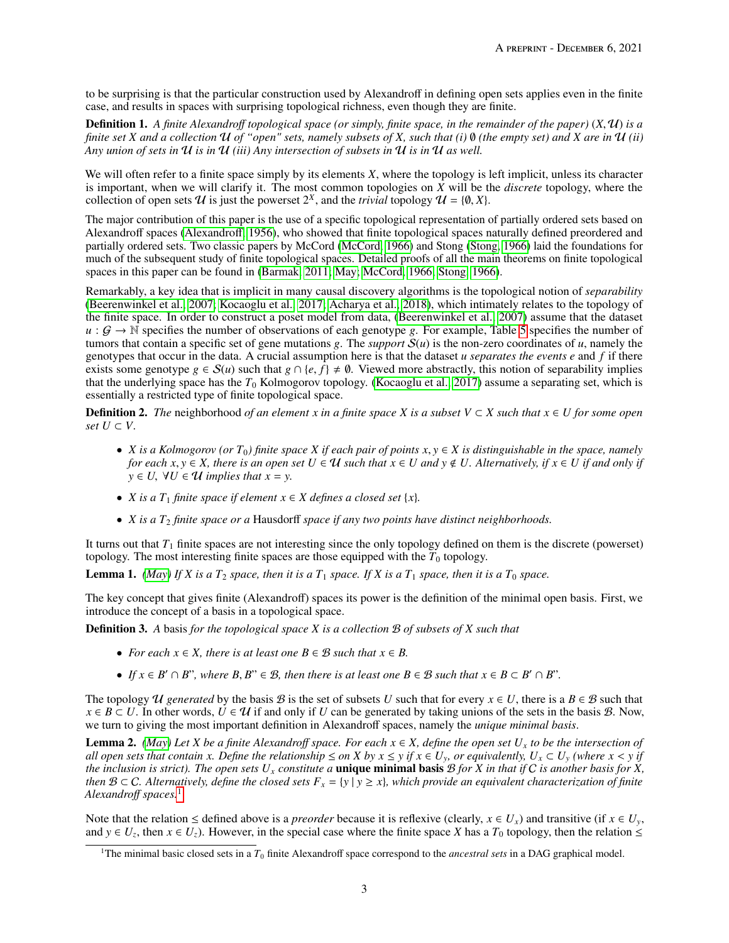to be surprising is that the particular construction used by Alexandroff in defining open sets applies even in the finite case, and results in spaces with surprising topological richness, even though they are finite.

Definition 1. *A finite Alexandro*ff *topological space (or simply, finite space, in the remainder of the paper)* (*X*, <sup>U</sup>) *is a finite set X and a collection* U *of "open" sets, namely subsets of X, such that (i)* ∅ *(the empty set) and X are in* U *(ii) Any union of sets in* U *is in* U *(iii) Any intersection of subsets in* U *is in* U *as well.*

We will often refer to a finite space simply by its elements *X*, where the topology is left implicit, unless its character is important, when we will clarify it. The most common topologies on *X* will be the *discrete* topology, where the collection of open sets  $U$  is just the powerset  $2^X$ , and the *trivial* topology  $U = \{\emptyset, X\}$ .

The major contribution of this paper is the use of a specific topological representation of partially ordered sets based on Alexandroff spaces [\(Alexandro](#page-15-15)ff, [1956\)](#page-15-16), who showed that finite topological spaces naturally defined preordered and partially ordered sets. Two classic papers by McCord [\(McCord, 1966\)](#page-16-5) and Stong [\(Stong, 1966\)](#page-16-6) laid the foundations for much of the subsequent study of finite topological spaces. Detailed proofs of all the main theorems on finite topological spaces in this paper can be found in [\(Barmak, 2011;](#page-15-14) [May;](#page-15-17) [McCord, 1966;](#page-16-5) [Stong, 1966\)](#page-16-6).

Remarkably, a key idea that is implicit in many causal discovery algorithms is the topological notion of *separability* [\(Beerenwinkel et al., 2007;](#page-16-8) [Kocaoglu et al., 2017;](#page-16-1) [Acharya et al., 2018\)](#page-16-9), which intimately relates to the topology of the finite space. In order to construct a poset model from data, [\(Beerenwinkel et al., 2007\)](#page-16-8) assume that the dataset  $u : G \to \mathbb{N}$  specifies the number of observations of each genotype g. For example, Table [5](#page-13-0) specifies the number of tumors that contain a specific set of gene mutations g. The *support*  $S(u)$  is the non-zero coordinates of *u*, namely the genotypes that occur in the data. A crucial assumption here is that the dataset *u separates the events e* and *f* if there exists some genotype  $g \in S(u)$  such that  $g \cap \{e, f\} \neq \emptyset$ . Viewed more abstractly, this notion of separability implies that the underlying space has the  $T_0$  Kolmogorov topology. [\(Kocaoglu et al., 2017\)](#page-16-1) assume a separating set, which is essentially a restricted type of finite topological space.

**Definition 2.** The neighborhood of an element *x* in a finite space *X* is a subset  $V \subset X$  such that  $x \in U$  for some open *set*  $U$  ⊂  $V$ .

- *X* is a Kolmogorov (or  $T_0$ ) finite space *X* if each pair of points  $x, y \in X$  is distinguishable in the space, namely *for each*  $x, y \in X$ , there is an open set  $U \in \mathcal{U}$  such that  $x \in U$  and  $y \notin U$ . Alternatively, if  $x \in U$  if and only if  $y \in U$ ,  $\forall U \in \mathcal{U}$  *implies that*  $x = y$ .
- *X* is a  $T_1$  *finite space if element*  $x \in X$  *defines a closed set*  $\{x\}$ *.*
- *X is a T<sub>2</sub> finite space or a* Hausdorff *space if any two points have distinct neighborhoods.*

It turns out that  $T_1$  finite spaces are not interesting since the only topology defined on them is the discrete (powerset) topology. The most interesting finite spaces are those equipped with the  $T_0$  topology.

**Lemma 1.** *[\(May\)](#page-15-17) If X is a T<sub>2</sub> <i>space, then it is a T<sub>1</sub> <i>space. If X is a T<sub>1</sub> <i>space, then it is a T<sub>0</sub> <i>space.* 

The key concept that gives finite (Alexandroff) spaces its power is the definition of the minimal open basis. First, we introduce the concept of a basis in a topological space.

Definition 3. *A* basis *for the topological space X is a collection* B *of subsets of X such that*

- *For each*  $x \in X$ *, there is at least one*  $B \in \mathcal{B}$  *such that*  $x \in B$ *.*
- *If*  $x \in B' \cap B$ ", where  $B, B'' \in B$ , then there is at least one  $B \in B$  such that  $x \in B \subset B' \cap B$ ".

The topology U generated by the basis B is the set of subsets U such that for every  $x \in U$ , there is a  $B \in \mathcal{B}$  such that  $x \in B \subset U$ . In other words,  $U \in U$  if and only if *U* can be generated by taking unions of the sets in the basis *B*. Now, we turn to giving the most important definition in Alexandroff spaces, namely the *unique minimal basis*.

**Lemma 2.** *[\(May\)](#page-15-17)* Let *X* be a finite Alexandroff space. For each  $x \in X$ , define the open set  $U_x$  to be the intersection of all open sets that contain x. Define the relationship  $\leq$  on X by  $x \leq y$  if  $x \in U_y$ , or equivalently,  $U_x \subset U_y$  (where  $x < y$  if *the inclusion is strict). The open sets*  $U_x$  *constitute a* **unique minimal basis**  $B$  *for*  $X$  *in that if*  $C$  *is another basis for*  $X$ *, then*  $B \subset C$ *. Alternatively, define the closed sets*  $F_x = \{y \mid y \ge x\}$ *, which provide an equivalent characterization of finite Alexandro*ff *spaces.*[1](#page-2-0)

Note that the relation  $\leq$  defined above is a *preorder* because it is reflexive (clearly,  $x \in U_x$ ) and transitive (if  $x \in U_y$ , and  $y \in U_z$ , then  $x \in U_z$ ). However, in the special case where the finite space *X* has a  $T_0$  topology, then the relation  $\leq$ 

<span id="page-2-0"></span><sup>&</sup>lt;sup>1</sup>The minimal basic closed sets in a  $T_0$  finite Alexandroff space correspond to the *ancestral sets* in a DAG graphical model.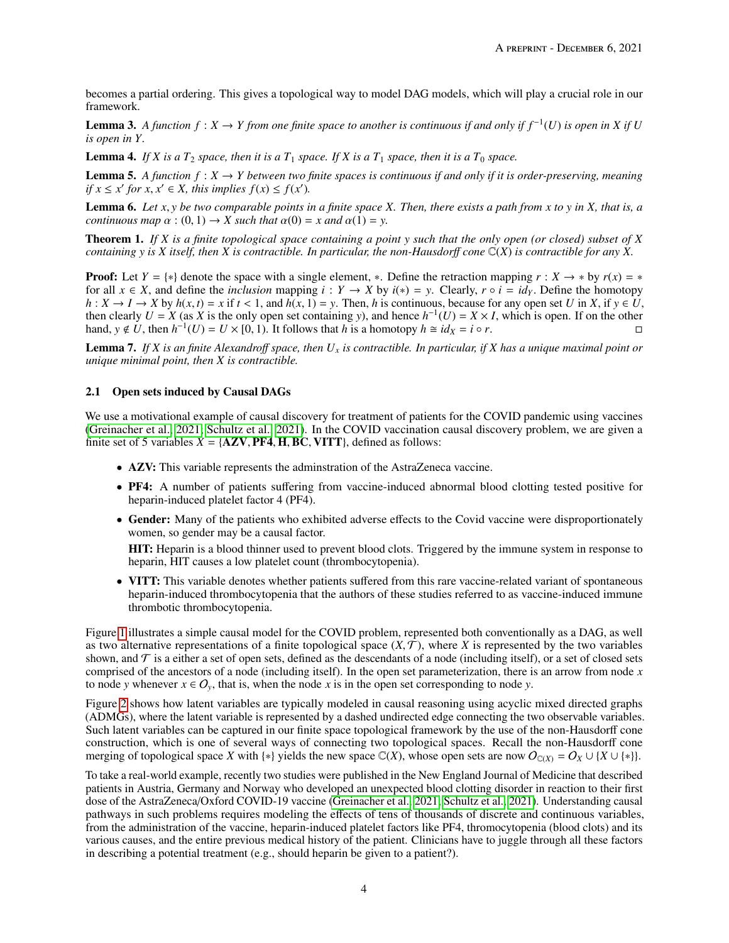becomes a partial ordering. This gives a topological way to model DAG models, which will play a crucial role in our framework.

**Lemma 3.** A function  $f: X \to Y$  from one finite space to another is continuous if and only if  $f^{-1}(U)$  is open in X if U *is open in Y.*

**Lemma 4.** If X is a  $T_2$  *space, then it is a*  $T_1$  *space. If X is a*  $T_1$  *space, then it is a*  $T_0$  *space.* 

**Lemma 5.** A function  $f: X \to Y$  between two finite spaces is continuous if and only if it is order-preserving, meaning *if*  $x \le x'$  *for*  $x, x' \in X$ *, this implies*  $f(x) \le f(x')$ .

Lemma 6. *Let <sup>x</sup>*, *<sup>y</sup> be two comparable points in a finite space X. Then, there exists a path from <sup>x</sup> to <sup>y</sup> in X, that is, a continuous map*  $\alpha$  : (0, 1)  $\rightarrow$  *X such that*  $\alpha$ (0) = *x and*  $\alpha$ (1) = *y*.

Theorem 1. *If X is a finite topological space containing a point y such that the only open (or closed) subset of X containing y is X itself, then X is contractible. In particular, the non-Hausdor*ff *cone* C(*X*) *is contractible for any X.*

**Proof:** Let  $Y = \{*\}$  denote the space with a single element, \*. Define the retraction mapping  $r : X \to *$  by  $r(x) = *$ for all  $x \in X$ , and define the *inclusion* mapping  $i : Y \to X$  by  $i(*) = y$ . Clearly,  $r \circ i = id_Y$ . Define the homotopy  $h: X \to I \to X$  by  $h(x, t) = x$  if  $t < 1$ , and  $h(x, 1) = y$ . Then, h is continuous, because for any open set U in X, if  $y \in U$ , then clearly  $U = X$  (as  $X$  is the only open set containing *y*), and hence  $h^{-1}(U) = X \times I$ , which is open. If on the other hand,  $y \notin U$ , then  $h^{-1}(U) = U \times [0, 1)$ . It follows that *h* is a homotopy  $h \cong id_X = i \circ r$ .

Lemma 7. *If X is an finite Alexandro*ff *space, then U<sup>x</sup> is contractible. In particular, if X has a unique maximal point or unique minimal point, then X is contractible.*

## 2.1 Open sets induced by Causal DAGs

We use a motivational example of causal discovery for treatment of patients for the COVID pandemic using vaccines [\(Greinacher et al., 2021;](#page-16-10) [Schultz et al., 2021\)](#page-16-11). In the COVID vaccination causal discovery problem, we are given a finite set of 5 variables  $X = \{AZV, PF4, H, BC, VITT\}$ , defined as follows:

- AZV: This variable represents the adminstration of the AstraZeneca vaccine.
- PF4: A number of patients suffering from vaccine-induced abnormal blood clotting tested positive for heparin-induced platelet factor 4 (PF4).
- Gender: Many of the patients who exhibited adverse effects to the Covid vaccine were disproportionately women, so gender may be a causal factor.

HIT: Heparin is a blood thinner used to prevent blood clots. Triggered by the immune system in response to heparin, HIT causes a low platelet count (thrombocytopenia).

• VITT: This variable denotes whether patients suffered from this rare vaccine-related variant of spontaneous heparin-induced thrombocytopenia that the authors of these studies referred to as vaccine-induced immune thrombotic thrombocytopenia.

Figure [1](#page-4-0) illustrates a simple causal model for the COVID problem, represented both conventionally as a DAG, as well as two alternative representations of a finite topological space  $(X, \mathcal{T})$ , where *X* is represented by the two variables shown, and  $\mathcal T$  is a either a set of open sets, defined as the descendants of a node (including itself), or a set of closed sets comprised of the ancestors of a node (including itself). In the open set parameterization, there is an arrow from node *x* to node *y* whenever  $x \in O_y$ , that is, when the node *x* is in the open set corresponding to node *y*.

Figure [2](#page-4-1) shows how latent variables are typically modeled in causal reasoning using acyclic mixed directed graphs (ADMGs), where the latent variable is represented by a dashed undirected edge connecting the two observable variables. Such latent variables can be captured in our finite space topological framework by the use of the non-Hausdorff cone construction, which is one of several ways of connecting two topological spaces. Recall the non-Hausdorff cone merging of topological space *X* with {\*} yields the new space  $\mathbb{C}(X)$ , whose open sets are now  $O_{\mathbb{C}(X)} = O_X \cup \{X \cup \{*\}\}.$ 

To take a real-world example, recently two studies were published in the New England Journal of Medicine that described patients in Austria, Germany and Norway who developed an unexpected blood clotting disorder in reaction to their first dose of the AstraZeneca/Oxford COVID-19 vaccine [\(Greinacher et al., 2021;](#page-16-10) [Schultz et al., 2021\)](#page-16-11). Understanding causal pathways in such problems requires modeling the effects of tens of thousands of discrete and continuous variables, from the administration of the vaccine, heparin-induced platelet factors like PF4, thromocytopenia (blood clots) and its various causes, and the entire previous medical history of the patient. Clinicians have to juggle through all these factors in describing a potential treatment (e.g., should heparin be given to a patient?).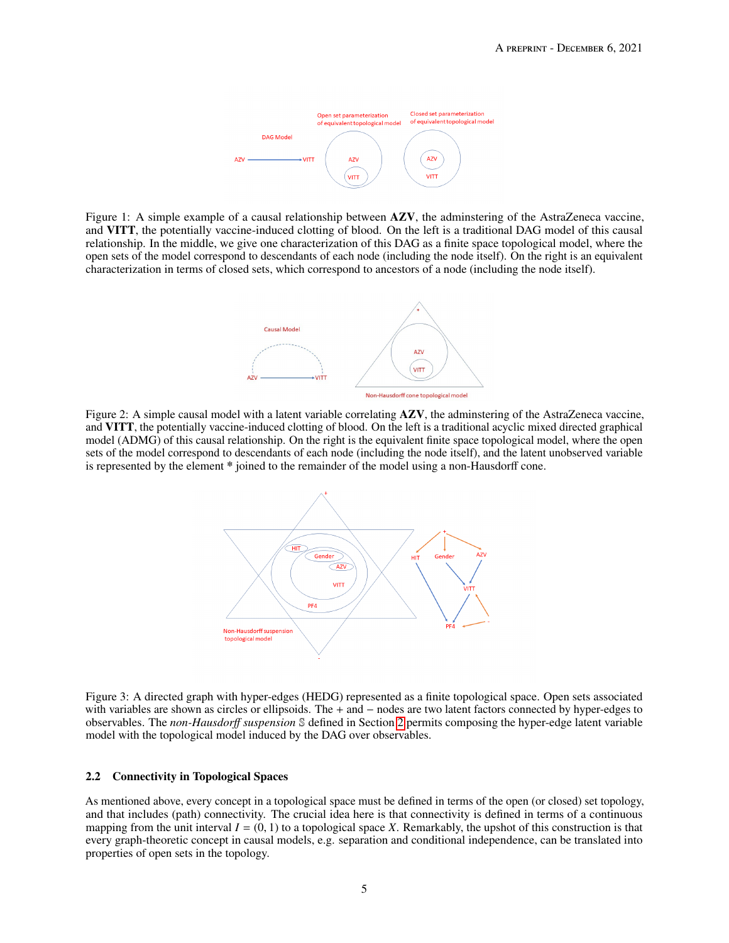

<span id="page-4-1"></span><span id="page-4-0"></span>Figure 1: A simple example of a causal relationship between  $A ZV$ , the adminstering of the AstraZeneca vaccine, and VITT, the potentially vaccine-induced clotting of blood. On the left is a traditional DAG model of this causal relationship. In the middle, we give one characterization of this DAG as a finite space topological model, where the open sets of the model correspond to descendants of each node (including the node itself). On the right is an equivalent characterization in terms of closed sets, which correspond to ancestors of a node (including the node itself).



Figure 2: A simple causal model with a latent variable correlating **AZV**, the adminstering of the AstraZeneca vaccine, and VITT, the potentially vaccine-induced clotting of blood. On the left is a traditional acyclic mixed directed graphical model (ADMG) of this causal relationship. On the right is the equivalent finite space topological model, where the open sets of the model correspond to descendants of each node (including the node itself), and the latent unobserved variable is represented by the element \* joined to the remainder of the model using a non-Hausdorff cone.



Figure 3: A directed graph with hyper-edges (HEDG) represented as a finite topological space. Open sets associated with variables are shown as circles or ellipsoids. The + and − nodes are two latent factors connected by hyper-edges to observables. The *non-Hausdor*ff *suspension* S defined in Section [2](#page-1-0) permits composing the hyper-edge latent variable model with the topological model induced by the DAG over observables.

#### 2.2 Connectivity in Topological Spaces

As mentioned above, every concept in a topological space must be defined in terms of the open (or closed) set topology, and that includes (path) connectivity. The crucial idea here is that connectivity is defined in terms of a continuous mapping from the unit interval  $I = (0, 1)$  to a topological space *X*. Remarkably, the upshot of this construction is that every graph-theoretic concept in causal models, e.g. separation and conditional independence, can be translated into properties of open sets in the topology.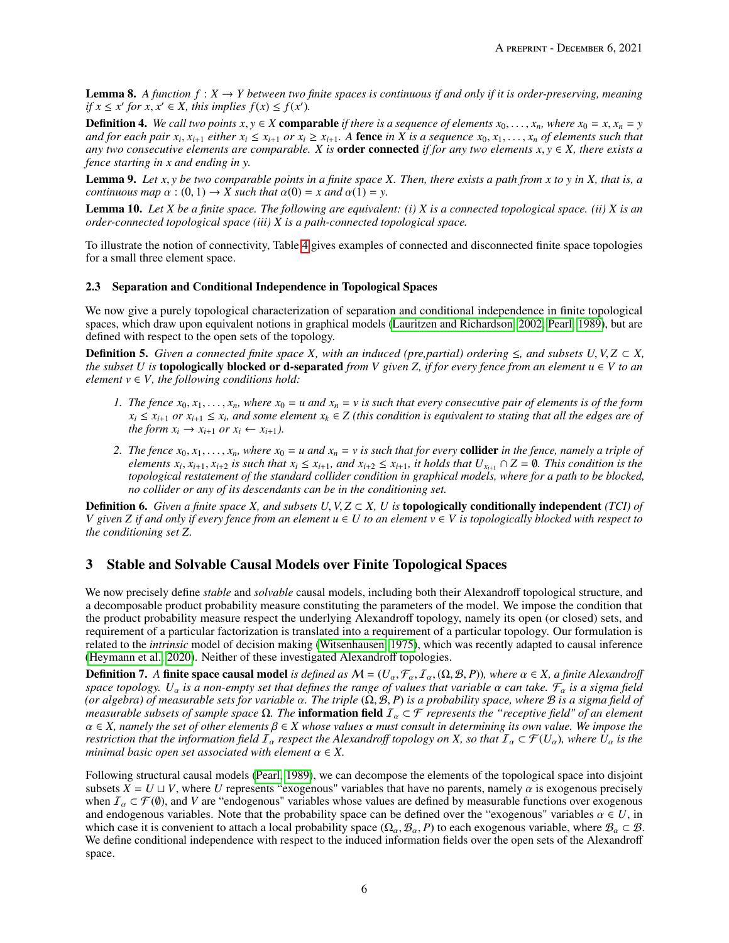**Lemma 8.** A function  $f: X \to Y$  between two finite spaces is continuous if and only if it is order-preserving, meaning *if*  $x \le x'$  *for*  $x, x' \in X$ *, this implies*  $f(x) \le f(x')$ .<br>
Definition 4. We call the environment  $X$  comments

**Definition 4.** We call two points  $x, y \in X$  comparable if there is a sequence of elements  $x_0, \ldots, x_n$ , where  $x_0 = x, x_n = y$ and for each pair  $x_i$ ,  $x_{i+1}$  either  $x_i \le x_{i+1}$  or  $x_i \ge x_{i+1}$ . A **fence** in X is a sequence  $x_0, x_1, \ldots, x_n$  of elements such that  $x_i \ge x_{i+1}$  or  $x_i \ge x_{i+1}$ . A **fence** in X is a sequence  $x_0, x_1, \ldots, x_n$  of elem *any two consecutive elements are comparable. X is* **order connected** *if for any two elements*  $x, y \in X$ *, there exists a fence starting in x and ending in y.*

Lemma 9. *Let <sup>x</sup>*, *<sup>y</sup> be two comparable points in a finite space X. Then, there exists a path from <sup>x</sup> to <sup>y</sup> in X, that is, a continuous map*  $\alpha$  : (0, 1)  $\rightarrow$  *X such that*  $\alpha$ (0) = *x and*  $\alpha$ (1) = *y*.

Lemma 10. *Let X be a finite space. The following are equivalent: (i) X is a connected topological space. (ii) X is an order-connected topological space (iii) X is a path-connected topological space.*

To illustrate the notion of connectivity, Table [4](#page-12-0) gives examples of connected and disconnected finite space topologies for a small three element space.

## <span id="page-5-0"></span>2.3 Separation and Conditional Independence in Topological Spaces

We now give a purely topological characterization of separation and conditional independence in finite topological spaces, which draw upon equivalent notions in graphical models [\(Lauritzen and Richardson, 2002;](#page-15-18) [Pearl, 1989\)](#page-15-7), but are defined with respect to the open sets of the topology.

**Definition 5.** Given a connected finite space *X*, with an induced (pre,partial) ordering  $\leq$ , and subsets  $U, V, Z \subset X$ , *the subset*  $U$  *is* **topologically blocked or d-separated** *from*  $V$  *given*  $Z$ *, if for every fence from an element*  $u \in V$  *to an element*  $v \in V$ *, the following conditions hold:* 

- *1.* The fence  $x_0, x_1, \ldots, x_n$ , where  $x_0 = u$  and  $x_n = v$  is such that every consecutive pair of elements is of the form  $x_i \leq x_{i+1}$  *or*  $x_{i+1} \leq x_i$ , and some element  $x_k \in Z$  (this condition is equivalent to stating that all the edges are of *the form*  $x_i \rightarrow x_{i+1}$  *or*  $x_i \leftarrow x_{i+1}$ *).*
- 2. The fence  $x_0, x_1, ..., x_n$ , where  $x_0 = u$  and  $x_n = v$  is such that for every **collider** in the fence, namely a triple of elements  $x_i$ ,  $x_{i+1}$ ,  $x_{i+2}$  is such that  $x_i \le x_{i+1}$ , and  $x_{i+2} \le x_{i+1}$ , it holds that  $U_{x_{i+1}} \cap Z = \emptyset$ . This condition is the standard collider condition in graphical models, where for a path to be blocked *topological restatement of the standard collider condition in graphical models, where for a path to be blocked, no collider or any of its descendants can be in the conditioning set.*

**Definition 6.** Given a finite space X, and subsets  $U, V, Z \subset X$ , U is **topologically conditionally independent** (TCI) of *V* given *Z* if and only if every fence from an element  $u \in U$  to an element  $v \in V$  is topologically blocked with respect to *the conditioning set Z.*

# 3 Stable and Solvable Causal Models over Finite Topological Spaces

We now precisely define *stable* and *solvable* causal models, including both their Alexandroff topological structure, and a decomposable product probability measure constituting the parameters of the model. We impose the condition that the product probability measure respect the underlying Alexandroff topology, namely its open (or closed) sets, and requirement of a particular factorization is translated into a requirement of a particular topology. Our formulation is related to the *intrinsic* model of decision making [\(Witsenhausen, 1975\)](#page-16-12), which was recently adapted to causal inference [\(Heymann et al., 2020\)](#page-16-13). Neither of these investigated Alexandroff topologies.

**Definition 7.** A finite space causal model *is defined as*  $M = (U_\alpha, \mathcal{F}_\alpha, I_\alpha, (\Omega, \mathcal{B}, P))$ , where  $\alpha \in X$ , a finite Alexandroff *space topology.*  $U_\alpha$  *is a non-empty set that defines the range of values that variable*  $\alpha$  *can take.*  $\mathcal{F}_\alpha$  *is a sigma field (or algebra) of measurable sets for variable* α*. The triple* (Ω, <sup>B</sup>, *<sup>P</sup>*) *is a probability space, where* <sup>B</sup> *is a sigma field of measurable subsets of sample space*  $\Omega$ *. The* **information field**  $I_\alpha \subset \mathcal{F}$  *represents the "receptive field" of an element* α <sup>∈</sup> *X, namely the set of other elements* β <sup>∈</sup> *<sup>X</sup> whose values* α *must consult in determining its own value. We impose the restriction that the information field*  $\overline{I}_\alpha$  *respect the Alexandroff topology on X, so that*  $\overline{I}_\alpha \subset \mathcal{F}(U_\alpha)$ *, where*  $\overline{U}_\alpha$  *is the minimal basic open set associated with element*  $\alpha \in X$ .

Following structural causal models [\(Pearl, 1989\)](#page-15-7), we can decompose the elements of the topological space into disjoint subsets  $X = U \sqcup V$ , where *U* represents "exogenous" variables that have no parents, namely  $\alpha$  is exogenous precisely when  $\mathcal{I}_{\alpha} \subset \mathcal{F}(\emptyset)$ , and *V* are "endogenous" variables whose values are defined by measurable functions over exogenous and endogenous variables. Note that the probability space can be defined over the "exogenous" variables  $\alpha \in U$ , in which case it is convenient to attach a local probability space  $(\Omega_{\alpha}, \mathcal{B}_{\alpha}, P)$  to each exogenous variable, where  $\mathcal{B}_{\alpha} \subset \mathcal{B}$ . We define conditional independence with respect to the induced information fields over the open sets of the Alexandroff space.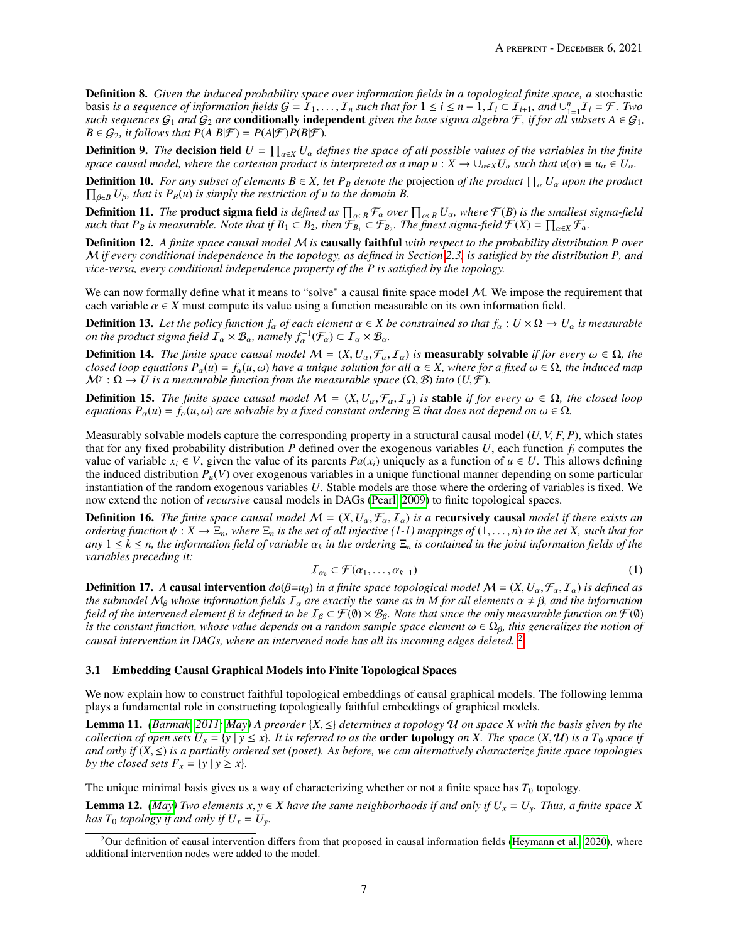Definition 8. *Given the induced probability space over information fields in a topological finite space, a* stochastic **basis is a sequence of information fields**  $G = I_1, ..., I_n$  **such that for**  $1 \le i \le n - 1$ **,**  $I_i \subset I_{i+1}$ **, and ∪<sup>n</sup><sub>-1</sub>** $I_i = F$ **. Two such sequences**  $G_1$  **and**  $G_2$  **are <b>conditionally independent** given the base sigma algebra  $F$  if *such sequences*  $G_1$  *and*  $G_2$  *are* **conditionally independent** *given the base sigma algebra*  $\mathcal{F}$ *, if for all subsets*  $A \in G_1$ *,*  $B \in \mathcal{G}_2$ , it follows that  $P(A \ B|\mathcal{F}) = P(A|\mathcal{F})P(B|\mathcal{F})$ .

**Definition 9.** The **decision field**  $U = \prod_{\alpha \in X} U_{\alpha}$  defines the space of all possible values of the variables in the finite space causal model, where the cartesian product is interpreted as a map  $u : X \to \square$ ,  $vU$ , such *space causal model, where the cartesian product is interpreted as a map*  $u : X \to \bigcup_{\alpha \in X} U_\alpha$  *<i>such that*  $u(\alpha) \equiv u_\alpha \in U_\alpha$ *.* 

**Definition 10.** *For any subset of elements*  $B \in X$ , *let*  $P_B$  *denote the* projection *of the product*  $\prod_{\alpha} U_{\alpha}$  *upon the product*  $\prod_{\beta \in B} U_{\beta}$ *, that is*  $P_B(u)$  *is simply the restriction of u to the domain*  $\prod_{\beta \in B} U_{\beta}$ *, that is P<sub>B</sub>(u) is simply the restriction of u to the domain B.* 

**Definition 11.** The **product sigma field** is defined as  $\prod_{\alpha \in B} \mathcal{F}_{\alpha}$  over  $\prod_{\alpha \in B} U_{\alpha}$ , where  $\mathcal{F}(B)$  is the smallest sigma-field such that  $P_B$  is measurable. Note that if  $B_1 \subset B_2$ , then  $\mathcal{F}_{B_1} \subset \math$ 

Definition 12. *A finite space causal model* M *is* causally faithful *with respect to the probability distribution P over* M *if every conditional independence in the topology, as defined in Section [2.3,](#page-5-0) is satisfied by the distribution P, and vice-versa, every conditional independence property of the P is satisfied by the topology.*

We can now formally define what it means to "solve" a causal finite space model  $M$ . We impose the requirement that each variable  $\alpha \in X$  must compute its value using a function measurable on its own information field.

**Definition 13.** Let the policy function  $f_\alpha$  of each element  $\alpha \in X$  be constrained so that  $f_\alpha : U \times \Omega \to U_\alpha$  is measurable *on the product sigma field*  $\overline{I}_\alpha \times \mathcal{B}_\alpha$ , *namely*  $f_\alpha^{-1}(\mathcal{F}_\alpha) \subset \overline{I}_\alpha \times \mathcal{B}_\alpha$ .

**Definition 14.** *The finite space causal model*  $M = (X, U_\alpha, \mathcal{F}_\alpha, I_\alpha)$  *is* **measurably solvable** *if for every*  $ω ∈ Ω$ *, the* closed loon equations  $P_-(u) = f_-(u_0)$  have a unique solution for all  $α ∈ X$  where for a fi *closed loop equations*  $P_\alpha(u) = f_\alpha(u, \omega)$  *have a unique solution for all*  $\alpha \in X$ *, where for a fixed*  $\omega \in \Omega$ *, the induced map*  $\mathcal{M}^{\gamma}: \Omega \to U$  is a measurable function from the measurable space  $(\Omega, \mathcal{B})$  *into*  $(U, \mathcal{F})$ .

**Definition 15.** *The finite space causal model*  $M = (X, U_\alpha, \mathcal{F}_\alpha, \mathcal{I}_\alpha)$  *is stable if for every*  $\omega \in \Omega$ *, the closed loop equations*  $P_\alpha(u) = f_\alpha(u, \omega)$  *are solvable by a fixed constant ordering*  $\Xi$  *that does not depend on*  $\omega \in \Omega$ *.* 

Measurably solvable models capture the corresponding property in a structural causal model (*U*, *<sup>V</sup>*, *<sup>F</sup>*, *<sup>P</sup>*), which states that for any fixed probability distribution  $P$  defined over the exogenous variables  $U$ , each function  $f_i$  computes the value of variable  $x_i \in V$ , given the value of its parents  $Pa(x_i)$  uniquely as a function of  $u \in U$ . This allows defining the induced distribution *Pu*(*V*) over exogenous variables in a unique functional manner depending on some particular instantiation of the random exogenous variables *U*. Stable models are those where the ordering of variables is fixed. We now extend the notion of *recursive* causal models in DAGs [\(Pearl, 2009\)](#page-15-21) to finite topological spaces.

**Definition 16.** *The finite space causal model*  $M = (X, U_{\alpha}, \mathcal{F}_{\alpha}, \mathcal{I}_{\alpha})$  *is a* **recursively causal** *model if there exists an ordering function*  $\psi : X \to \Xi_n$ , where  $\Xi_n$  is the set of all injective (1-1) mappings of  $(1,\ldots,n)$  to the set X, such that for  $\alpha$ <sup>*i*</sup>  $1 \leq k \leq n$ , *the information field of variable*  $\alpha_k$  *in the ordering*  $\Xi_n$  *is contained in the joint information fields of the variables preceding it:*

$$
\mathcal{I}_{\alpha_k} \subset \mathcal{F}(\alpha_1, \dots, \alpha_{k-1}) \tag{1}
$$

**Definition 17.** *A* **causal intervention**  $do(\beta = u_{\beta})$  *in a finite space topological model*  $M = (X, U_{\alpha}, \mathcal{F}_{\alpha}, I_{\alpha})$  *is defined as the submodel*  $M_{\alpha}$  whose information fields  $I_{\alpha}$  are exactly the same as in M *the submodel*  $M_\beta$  *whose information fields*  $I_\alpha$  *are exactly the same as in M for all elements*  $\alpha \neq \beta$ *, and the information field of the intervened element*  $\beta$  *is defined to be*  $I_\beta \subset \mathcal{F}(\emptyset) \times \mathcal{B}_\beta$ *. Note that since the only measurable function on*  $\mathcal{F}(\emptyset)$ *is the constant function, whose value depends on a random sample space element*  $\omega \in \Omega_\beta$ *, this generalizes the notion of causal intervention in DAGs, where an intervened node has all its incoming edges deleted.* [2](#page-6-0)

#### 3.1 Embedding Causal Graphical Models into Finite Topological Spaces

We now explain how to construct faithful topological embeddings of causal graphical models. The following lemma plays a fundamental role in constructing topologically faithful embeddings of graphical models.

**Lemma 11.** *[\(Barmak, 2011;](#page-15-14) [May\)](#page-15-17)* A preorder  $\{X, \leq\}$  determines a topology U on space X with the basis given by the *collection of open sets*  $U_x = \{y \mid y \le x\}$ *. It is referred to as the* **order topology** *on X. The space*  $(X, \mathcal{U})$  *is a*  $T_0$  *space if and only if*  $(X, \leq)$  *is a partially ordered set (poset). As before, we can alternatively characterize finite space topologies by the closed sets*  $F_x = \{y \mid y \ge x\}.$ 

The unique minimal basis gives us a way of characterizing whether or not a finite space has  $T_0$  topology.

**Lemma 12.** *[\(May\)](#page-15-17) Two elements*  $x, y \in X$  *have the same neighborhoods if and only if*  $U_x = U_y$ *. Thus, a finite space X has*  $T_0$  *topology if and only if*  $U_x = U_y$ *.* 

<span id="page-6-0"></span><sup>&</sup>lt;sup>2</sup>Our definition of causal intervention differs from that proposed in causal information fields [\(Heymann et al., 2020\)](#page-16-13), where additional intervention nodes were added to the model.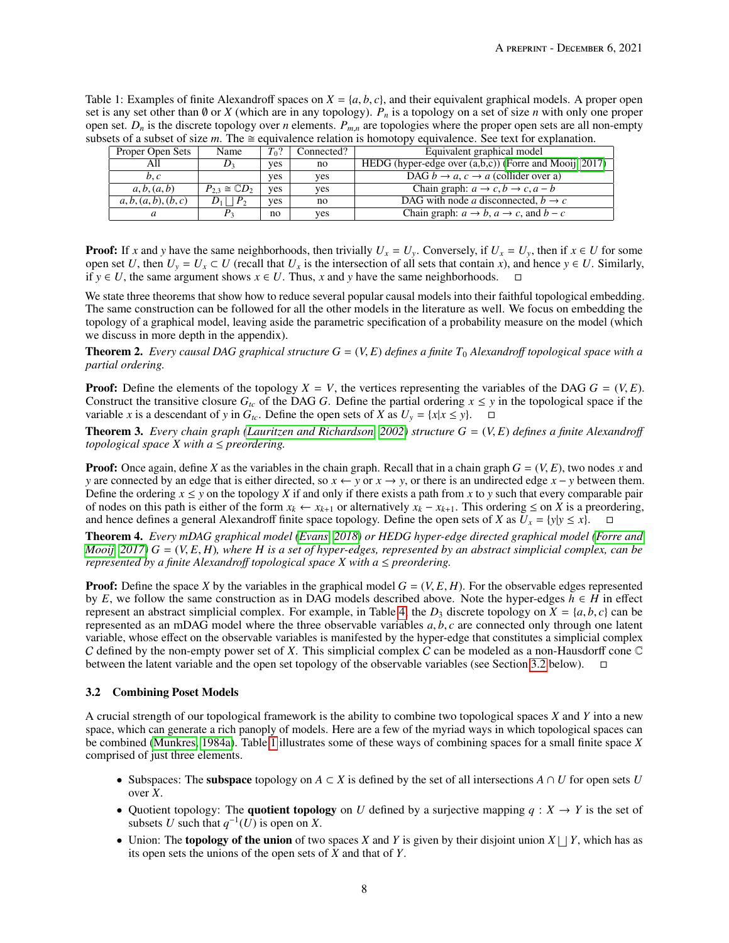<span id="page-7-1"></span>Table 1: Examples of finite Alexandroff spaces on  $X = \{a, b, c\}$ , and their equivalent graphical models. A proper open set is any set other than  $\emptyset$  or *X* (which are in any topology).  $P_n$  is a topology on a set of size *n* with only one proper open set.  $D_n$  is the discrete topology over *n* elements.  $P_{m,n}$  are topologies where the proper open sets are all non-empty subsets of a subset of size  $m$ . The  $\cong$  equivalence relation is homotopy equivalence. See text for explanation.

| Proper Open Sets     | Name                          | $T_0$ ? | Connected? | Equivalent graphical model                                       |  |  |
|----------------------|-------------------------------|---------|------------|------------------------------------------------------------------|--|--|
| All                  |                               | ves     | no         | HEDG (hyper-edge over $(a,b,c)$ ) (Forre and Mooij, 2017)        |  |  |
| b, c                 |                               | ves     | ves        | DAG $b \to a$ , $c \to a$ (collider over a)                      |  |  |
| a, b, (a, b)         | $P_{2,3} \cong \mathbb{C}D_2$ | ves     | ves        | Chain graph: $a \rightarrow c, b \rightarrow c, a - b$           |  |  |
| a, b, (a, b), (b, c) | $D_1 \mid \cdot \mid P_2$     | ves     | no.        | DAG with node a disconnected, $b \rightarrow c$                  |  |  |
| a                    |                               | no      | ves        | Chain graph: $a \rightarrow b$ , $a \rightarrow c$ , and $b - c$ |  |  |

**Proof:** If *x* and *y* have the same neighborhoods, then trivially  $U_x = U_y$ . Conversely, if  $U_x = U_y$ , then if  $x \in U$  for some open set *U*, then  $U_y = U_x \subset U$  (recall that  $U_x$  is the intersection of all sets that contain *x*), and hence  $y \in U$ . Similarly, if *y* ∈ *U*, the same argument shows  $x \in U$ . Thus, *x* and *y* have the same neighborhoods.

We state three theorems that show how to reduce several popular causal models into their faithful topological embedding. The same construction can be followed for all the other models in the literature as well. We focus on embedding the topology of a graphical model, leaving aside the parametric specification of a probability measure on the model (which we discuss in more depth in the appendix).

**Theorem 2.** Every causal DAG graphical structure  $G = (V, E)$  defines a finite  $T_0$  Alexandroff topological space with a *partial ordering.*

**Proof:** Define the elements of the topology  $X = V$ , the vertices representing the variables of the DAG  $G = (V, E)$ . Construct the transitive closure  $G_t$  of the DAG G. Define the partial ordering  $x \le y$  in the topological space if the variable *x* is a descendant of *y* in  $G_t$ . Define the open sets of *X* as  $U_y = \{x | x \le y\}$ .  $\Box$ 

**Theorem 3.** *Every chain graph [\(Lauritzen and Richardson, 2002\)](#page-15-18) structure*  $G = (V, E)$  *defines a finite Alexandroff topological space*  $X$  *with a*  $\leq$  *preordering.* 

**Proof:** Once again, define *X* as the variables in the chain graph. Recall that in a chain graph  $G = (V, E)$ , two nodes *x* and *y* are connected by an edge that is either directed, so  $x \leftarrow y$  or  $x \rightarrow y$ , or there is an undirected edge  $x - y$  between them. Define the ordering  $x \le y$  on the topology *X* if and only if there exists a path from *x* to *y* such that every comparable pair of nodes on this path is either of the form  $x_k$  ←  $x_{k+1}$  or alternatively  $x_k - x_{k+1}$ . This ordering ≤ on *X* is a preordering, and hence defines a general Alexandroff finite space topology. Define the open sets of *X* as  $U_x = \{y | y \le x\}$ .

Theorem 4. *Every mDAG graphical model [\(Evans, 2018\)](#page-15-11) or HEDG hyper-edge directed graphical model [\(Forre and](#page-15-12) [Mooij, 2017\)](#page-15-12) <sup>G</sup>* <sup>=</sup> (*V*, *<sup>E</sup>*, *<sup>H</sup>*)*, where <sup>H</sup> is a set of hyper-edges, represented by an abstract simplicial complex, can be represented by a finite Alexandro*ff *topological space X with a* ≤ *preordering.*

**Proof:** Define the space *X* by the variables in the graphical model  $G = (V, E, H)$ . For the observable edges represented by *E*, we follow the same construction as in DAG models described above. Note the hyper-edges  $h \in H$  in effect represent an abstract simplicial complex. For example, in Table [4,](#page-12-0) the  $D_3$  discrete topology on  $X = \{a, b, c\}$  can be represented as an mDAG model where the three observable variables *<sup>a</sup>*, *<sup>b</sup>*, *<sup>c</sup>* are connected only through one latent variable, whose effect on the observable variables is manifested by the hyper-edge that constitutes a simplicial complex C defined by the non-empty power set of *X*. This simplicial complex C can be modeled as a non-Hausdorff cone C between the latent variable and the open set topology of the observable variables (see Section [3.2](#page-7-0) below).

## <span id="page-7-0"></span>3.2 Combining Poset Models

A crucial strength of our topological framework is the ability to combine two topological spaces *X* and *Y* into a new space, which can generate a rich panoply of models. Here are a few of the myriad ways in which topological spaces can be combined [\(Munkres, 1984a\)](#page-15-0). Table [1](#page-7-1) illustrates some of these ways of combining spaces for a small finite space *X* comprised of just three elements.

- Subspaces: The subspace topology on  $A \subset X$  is defined by the set of all intersections  $A \cap U$  for open sets  $U$ over *X*.
- Quotient topology: The **quotient topology** on *U* defined by a surjective mapping  $q : X \rightarrow Y$  is the set of subsets *U* such that  $q^{-1}(U)$  is open on *X*.
- Union: The **topology of the union** of two spaces *X* and *Y* is given by their disjoint union  $X \sqcup Y$ , which has as its open sets the unions of the open sets of *X* and that of *Y*.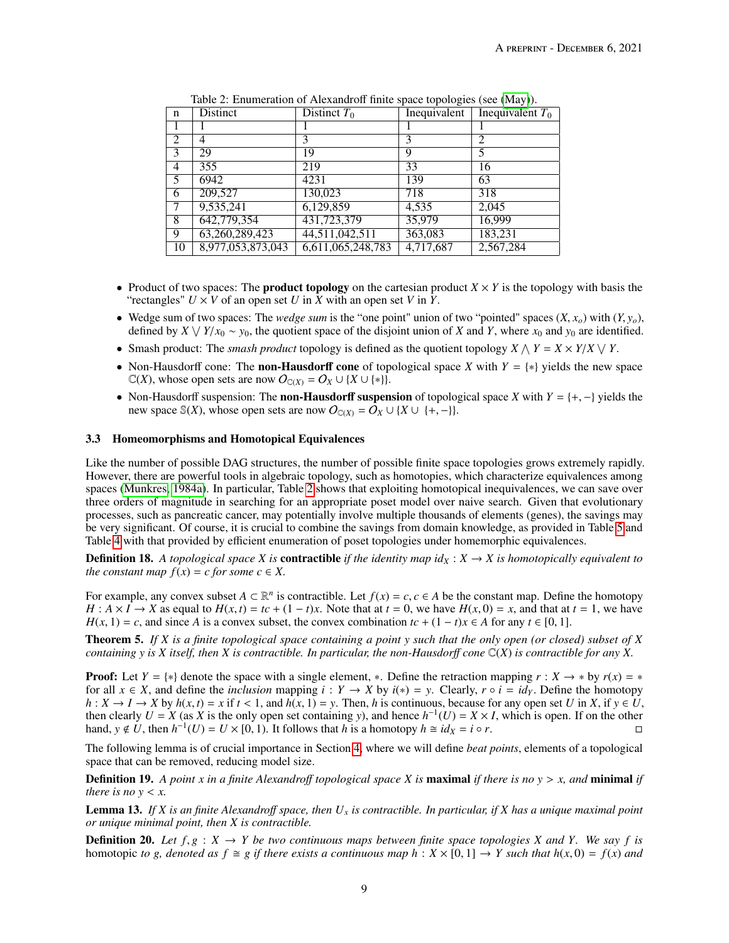<span id="page-8-0"></span>

| n  | <b>Distinct</b>   | Distinct $T_0$    | Inequivalent | Inequivalent $T_0$ |
|----|-------------------|-------------------|--------------|--------------------|
|    |                   |                   |              |                    |
| 2  | 4                 | 3                 |              | 2                  |
| 3  | 29                | 19                | 9            | 5                  |
| 4  | 355               | 219               | 33           | 16                 |
| 5  | 6942              | 4231              | 139          | 63                 |
| 6  | 209,527           | 130,023           | 718          | 318                |
|    | 9,535,241         | 6,129,859         | 4,535        | 2,045              |
| 8  | 642,779,354       | 431,723,379       | 35,979       | 16,999             |
| 9  | 63,260,289,423    | 44,511,042,511    | 363,083      | 183,231            |
| 10 | 8,977,053,873,043 | 6,611,065,248,783 | 4,717,687    | 2,567,284          |

Table 2: Enumeration of Alexandroff finite space topologies (see [\(May\)](#page-15-17)).

- Product of two spaces: The **product topology** on the cartesian product  $X \times Y$  is the topology with basis the "rectangles"  $U \times V$  of an open set  $U$  in  $X$  with an open set  $V$  in  $Y$ .
- Wedge sum of two spaces: The *wedge sum* is the "one point" union of two "pointed" spaces  $(X, x_o)$  with  $(Y, y_o)$ , defined by  $X \vee Y/x_0 \sim y_0$ , the quotient space of the disjoint union of *X* and *Y*, where  $x_0$  and  $y_0$  are identified.
- Smash product: The *smash product* topology is defined as the quotient topology  $X \wedge Y = X \times Y/X \vee Y$ .
- Non-Hausdorff cone: The non-Hausdorff cone of topological space *X* with *Y* = {∗} yields the new space  $\mathbb{C}(X)$ , whose open sets are now  $O_{\mathbb{C}(X)} = O_X \cup \{X \cup \{*\}\}.$
- Non-Hausdorff suspension: The non-Hausdorff suspension of topological space *<sup>X</sup>* with *<sup>Y</sup>* <sup>=</sup> {+, −} yields the new space S(*X*), whose open sets are now  $O_{\mathbb{C}(X)} = O_X \cup \{X \cup \{+, -\}\}.$

## 3.3 Homeomorphisms and Homotopical Equivalences

Like the number of possible DAG structures, the number of possible finite space topologies grows extremely rapidly. However, there are powerful tools in algebraic topology, such as homotopies, which characterize equivalences among spaces [\(Munkres, 1984a\)](#page-15-0). In particular, Table [2](#page-8-0) shows that exploiting homotopical inequivalences, we can save over three orders of magnitude in searching for an appropriate poset model over naive search. Given that evolutionary processes, such as pancreatic cancer, may potentially involve multiple thousands of elements (genes), the savings may be very significant. Of course, it is crucial to combine the savings from domain knowledge, as provided in Table [5](#page-13-0) and Table [4](#page-14-0) with that provided by efficient enumeration of poset topologies under homemorphic equivalences.

**Definition 18.** A topological space *X* is **contractible** if the identity map  $id_X : X \to X$  is homotopically equivalent to *the constant map*  $f(x) = c$  *for some*  $c \in X$ .

For example, any convex subset *A* ⊂  $\mathbb{R}^n$  is contractible. Let  $f(x) = c, c \in A$  be the constant map. Define the homotopy  $H : A \times I \to X$  as equal to  $H(x,t) = tc + (1-t)x$ . Note that at  $t = 0$ , we have  $H(x, 0) = x$  and that at  $t = 1$ *H* :  $A \times I \rightarrow X$  as equal to  $H(x, t) = tc + (1 - t)x$ . Note that at  $t = 0$ , we have  $H(x, 0) = x$ , and that at  $t = 1$ , we have  $H(x, 1) = c$ , and since *A* is a convex subset, the convex combination  $tc + (1 - t)x \in A$  for any  $t \in [0, 1]$ .

Theorem 5. *If X is a finite topological space containing a point y such that the only open (or closed) subset of X containing y is X itself, then X is contractible. In particular, the non-Hausdor*ff *cone* C(*X*) *is contractible for any X.*

**Proof:** Let  $Y = \{*\}$  denote the space with a single element,  $*$ . Define the retraction mapping  $r : X \to *$  by  $r(x) = *$ for all  $x \in X$ , and define the *inclusion* mapping  $i : Y \to X$  by  $i(*) = y$ . Clearly,  $r \circ i = id_y$ . Define the homotopy  $h: X \to I \to X$  by  $h(x, t) = x$  if  $t < 1$ , and  $h(x, 1) = y$ . Then, h is continuous, because for any open set U in X, if  $y \in U$ . then clearly  $U = X$  (as  $X$  is the only open set containing *y*), and hence  $h^{-1}(U) = X \times I$ , which is open. If on the other hand,  $y \notin U$ , then  $h^{-1}(U) = U \times [0, 1)$ . It follows that *h* is a homotopy  $h \cong id_X = i \circ r$ .

The following lemma is of crucial importance in Section [4,](#page-9-0) where we will define *beat points*, elements of a topological space that can be removed, reducing model size.

Definition 19. *A point <sup>x</sup> in a finite Alexandro*ff *topological space <sup>X</sup> is* maximal *if there is no <sup>y</sup>* > *x, and* minimal *if there is no*  $y < x$ *.* 

Lemma 13. *If X is an finite Alexandro*ff *space, then U<sup>x</sup> is contractible. In particular, if X has a unique maximal point or unique minimal point, then X is contractible.*

**Definition 20.** Let  $f, g : X \to Y$  be two continuous maps between finite space topologies X and Y. We say f is homotopic *to g, denoted as*  $f \cong g$  *if there exists a continuous map*  $h : X \times [0, 1] \rightarrow Y$  *such that*  $h(x, 0) = f(x)$  *and*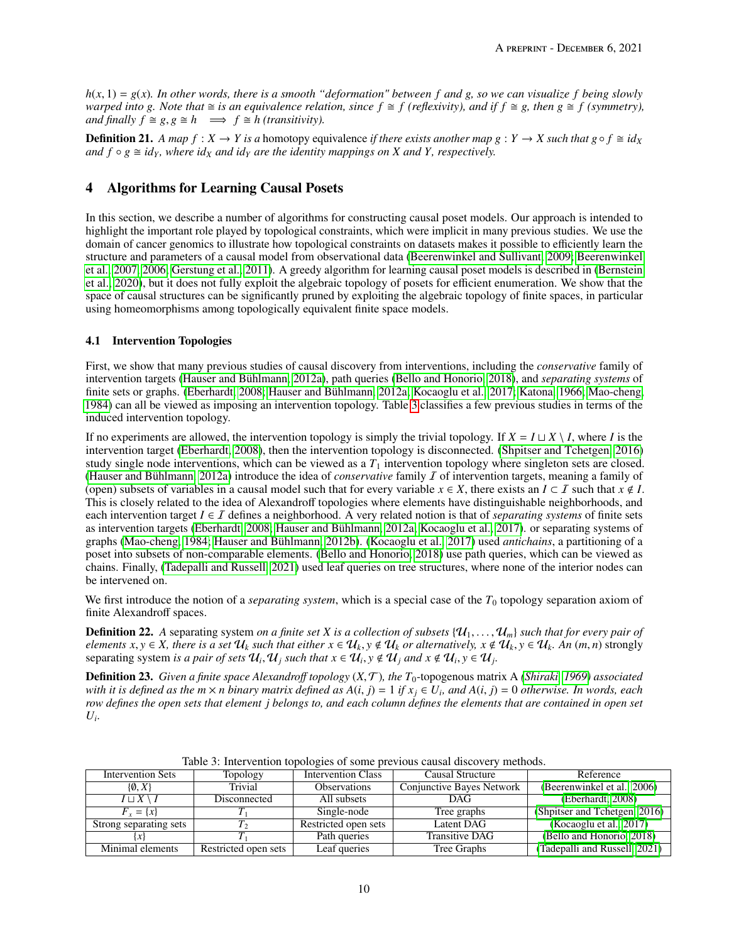$h(x, 1) = g(x)$ *. In other words, there is a smooth "deformation" between f* and *g, so we can visualize f being slowly warped into*  $g$ . Note that  $\cong$  *is an equivalence relation, since*  $f \cong f$  *(reflexivity), and if*  $f \cong g$ , then  $g \cong f$  *(symmetry), and finally*  $f \cong g, g \cong h \implies f \cong h$  *(transitivity).* 

**Definition 21.** A map  $f: X \to Y$  is a homotopy equivalence *if there exists another map*  $g: Y \to X$  *such that*  $g \circ f \cong id_X$ *and*  $f \circ g \cong id_Y$ , where  $id_X$  *and*  $id_Y$  *are the identity mappings on X and Y, respectively.* 

# <span id="page-9-0"></span>4 Algorithms for Learning Causal Posets

In this section, we describe a number of algorithms for constructing causal poset models. Our approach is intended to highlight the important role played by topological constraints, which were implicit in many previous studies. We use the domain of cancer genomics to illustrate how topological constraints on datasets makes it possible to efficiently learn the structure and parameters of a causal model from observational data [\(Beerenwinkel and Sullivant, 2009;](#page-15-19) [Beerenwinkel](#page-16-8) [et al., 2007,](#page-16-8) [2006;](#page-16-14) [Gerstung et al., 2011\)](#page-17-0). A greedy algorithm for learning causal poset models is described in [\(Bernstein](#page-16-4) [et al., 2020\)](#page-16-4), but it does not fully exploit the algebraic topology of posets for efficient enumeration. We show that the space of causal structures can be significantly pruned by exploiting the algebraic topology of finite spaces, in particular using homeomorphisms among topologically equivalent finite space models.

## 4.1 Intervention Topologies

First, we show that many previous studies of causal discovery from interventions, including the *conservative* family of intervention targets [\(Hauser and Bühlmann, 2012a\)](#page-16-0), path queries [\(Bello and Honorio, 2018\)](#page-17-1), and *separating systems* of finite sets or graphs. [\(Eberhardt, 2008;](#page-15-22) [Hauser and Bühlmann, 2012a;](#page-16-0) [Kocaoglu et al., 2017;](#page-16-1) [Katona, 1966;](#page-17-2) [Mao-cheng,](#page-16-2) [1984\)](#page-16-2) can all be viewed as imposing an intervention topology. Table [3](#page-9-1) classifies a few previous studies in terms of the induced intervention topology.

If no experiments are allowed, the intervention topology is simply the trivial topology. If  $X = I \sqcup X \setminus I$ , where *I* is the intervention target [\(Eberhardt, 2008\)](#page-15-22), then the intervention topology is disconnected. [\(Shpitser and Tchetgen, 2016\)](#page-17-3) study single node interventions, which can be viewed as a  $T_1$  intervention topology where singleton sets are closed. [\(Hauser and Bühlmann, 2012a\)](#page-16-0) introduce the idea of *conservative* family I of intervention targets, meaning a family of (open) subsets of variables in a causal model such that for every variable  $x \in X$ , there exists an  $I \subset I$  such that  $x \notin I$ . This is closely related to the idea of Alexandroff topologies where elements have distinguishable neighborhoods, and each intervention target  $I \in I$  defines a neighborhood. A very related notion is that of *separating systems* of finite sets as intervention targets [\(Eberhardt, 2008;](#page-15-22) [Hauser and Bühlmann, 2012a;](#page-16-0) [Kocaoglu et al., 2017\)](#page-16-1). or separating systems of graphs [\(Mao-cheng, 1984;](#page-16-2) [Hauser and Bühlmann, 2012b\)](#page-17-4). [\(Kocaoglu et al., 2017\)](#page-16-1) used *antichains*, a partitioning of a poset into subsets of non-comparable elements. [\(Bello and Honorio, 2018\)](#page-17-1) use path queries, which can be viewed as chains. Finally, [\(Tadepalli and Russell, 2021\)](#page-16-3) used leaf queries on tree structures, where none of the interior nodes can be intervened on.

We first introduce the notion of a *separating system*, which is a special case of the  $T_0$  topology separation axiom of finite Alexandroff spaces.

**Definition 22.** A separating system *on a finite set* X is a collection of subsets  $\{U_1, \ldots, U_m\}$  such that for every pair of elements  $x, y \in X$ , there is a set  $\mathcal{U}_k$  such that either  $x \in \mathcal{U}_k$ ,  $y \notin \mathcal{U}_k$  or alternatively,  $x \notin \mathcal{U}_k$ ,  $y \in \mathcal{U}_k$ . An  $(m, n)$  strongly separating system *is a pair of sets*  $\mathcal{U}_i$ ,  $\mathcal{U}_j$  such that  $x \in \mathcal{U}_i$ ,  $y \notin \mathcal{U}_j$  and  $x \notin \mathcal{U}_i$ ,  $y \in \mathcal{U}_j$ .

Definition 23. *Given a finite space Alexandro*ff *topology* (*X*,T)*, the <sup>T</sup>*0-topogenous matrix A *[\(Shiraki, 1969\)](#page-17-5) associated* with it is defined as the m  $\times$  n binary matrix defined as  $A(i, j) = 1$  if  $x_j \in U_i$ , and  $A(i, j) = 0$  otherwise. In words, each row defines the open sets that element i belongs to and each column defines the elements that ar *row defines the open sets that element j belongs to, and each column defines the elements that are contained in open set Ui .*

<span id="page-9-1"></span>

| <b>Intervention Sets</b><br><b>Topology</b> |                      | <b>Intervention Class</b> | Causal Structure          | Reference                     |
|---------------------------------------------|----------------------|---------------------------|---------------------------|-------------------------------|
| $\{0, X\}$                                  | Trivial              | <b>Observations</b>       | Conjunctive Bayes Network | (Beerenwinkel et al., 2006)   |
| $I \sqcup X \setminus I$                    | Disconnected         | All subsets               | <b>DAG</b>                | (Eberhardt, 2008)             |
| $F_r = \{x\}$                               |                      | Single-node               | Tree graphs               | (Shpitser and Tchetgen, 2016) |
| Strong separating sets                      |                      | Restricted open sets      | Latent DAG                | (Kocaoglu et al., 2017)       |
|                                             |                      | Path queries              | Transitive DAG            | (Bello and Honorio, 2018)     |
| Minimal elements                            | Restricted open sets | Leaf queries              | Tree Graphs               | (Tadepalli and Russell, 2021) |

Table 3: Intervention topologies of some previous causal discovery methods.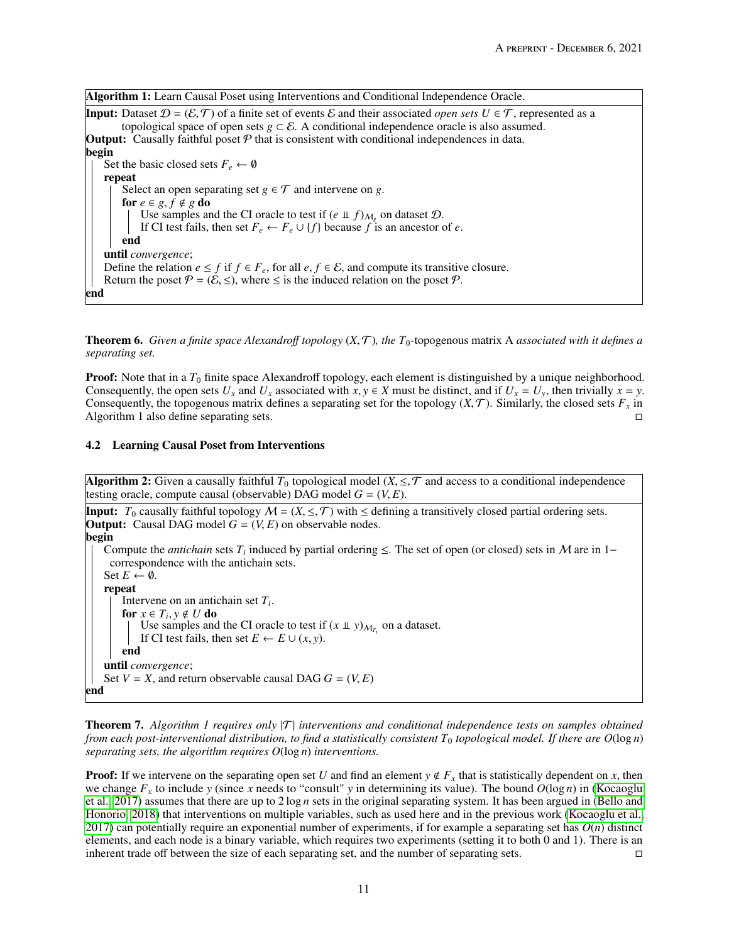Algorithm 1: Learn Causal Poset using Interventions and Conditional Independence Oracle.

**Input:** Dataset  $\mathcal{D} = (\mathcal{E}, \mathcal{T})$  of a finite set of events  $\mathcal{E}$  and their associated *open sets*  $U \in \mathcal{T}$ , represented as a topological space of open sets  $g \subset \mathcal{E}$ . A conditional independence oracle is also assumed. **Output:** Causally faithful poset  $P$  that is consistent with conditional independences in data. begin Set the basic closed sets  $F_e \leftarrow \emptyset$ repeat Select an open separating set  $g \in \mathcal{T}$  and intervene on *g*. for  $e \in g, f \notin g$  do Use samples and the CI oracle to test if  $(e \perp f)_{M_g}$  on dataset  $\mathcal{D}$ . If CI test fails, then set  $F_e \leftarrow F_e \cup \{f\}$  because *f* is an ancestor of *e*. end until *convergence*; Define the relation  $e \leq f$  if  $f \in F_e$ , for all  $e, f \in \mathcal{E}$ , and compute its transitive closure. Return the poset  $P = (\mathcal{E}, \leq)$ , where  $\leq$  is the induced relation on the poset  $P$ . end

**Theorem 6.** Given a finite space Alexandroff topology  $(X, \mathcal{T})$ , the  $T_0$ -topogenous matrix A associated with it defines a *separating set.*

**Proof:** Note that in a  $T_0$  finite space Alexandroff topology, each element is distinguished by a unique neighborhood. Consequently, the open sets  $U_x$  and  $U_x$  associated with  $x, y \in X$  must be distinct, and if  $U_x = U_y$ , then trivially  $x = y$ . Consequently, the topogenous matrix defines a separating set for the topology  $(X, \mathcal{T})$ . Similarly, the closed sets  $F_x$  in Algorithm 1 also define separating sets Algorithm 1 also define separating sets.

#### 4.2 Learning Causal Poset from Interventions

**Algorithm 2:** Given a causally faithful  $T_0$  topological model  $(X, \leq, \mathcal{T})$  and access to a conditional independence testing oracle, compute causal (observable) DAG model  $G = (V, E)$ .

**Input:**  $T_0$  causally faithful topology  $M = (X, \leq, \mathcal{T})$  with  $\leq$  defining a transitively closed partial ordering sets. **Output:** Causal DAG model  $G = (V, E)$  on observable nodes. begin Compute the *antichain* sets  $T_i$  induced by partial ordering  $\le$ . The set of open (or closed) sets in M are in 1− correspondence with the antichain sets. Set  $E \leftarrow \emptyset$ . repeat Intervene on an antichain set *T<sup>i</sup>* . for  $x \in T_i$ ,  $y \notin U$  do <br>  $\vdash$  Use samples and Use samples and the CI oracle to test if  $(x \perp y)_{M_{T_i}}$  on a dataset. If CI test fails, then set  $E \leftarrow E \cup (x, y)$ . end until *convergence*; Set  $V = X$ , and return observable causal DAG  $G = (V, E)$ end

Theorem 7. *Algorithm 1 requires only* |T | *interventions and conditional independence tests on samples obtained from each post-interventional distribution, to find a statistically consistent*  $T_0$  *topological model. If there are*  $O(\log n)$ *separating sets, the algorithm requires O*(log *n*) *interventions.*

**Proof:** If we intervene on the separating open set *U* and find an element  $y \notin F_x$  that is statistically dependent on *x*, then we change  $F<sub>x</sub>$  to include *y* (since *x* needs to "consult" *y* in determining its value). The bound  $O(\log n)$  in [\(Kocaoglu](#page-16-1) [et al., 2017\)](#page-16-1) assumes that there are up to 2 log *n* sets in the original separating system. It has been argued in [\(Bello and](#page-17-1) [Honorio, 2018\)](#page-17-1) that interventions on multiple variables, such as used here and in the previous work [\(Kocaoglu et al.,](#page-16-1) [2017\)](#page-16-1) can potentially require an exponential number of experiments, if for example a separating set has *O*(*n*) distinct elements, and each node is a binary variable, which requires two experiments (setting it to both 0 and 1). There is an inherent trade off between the size of each separating set, and the number of separating sets.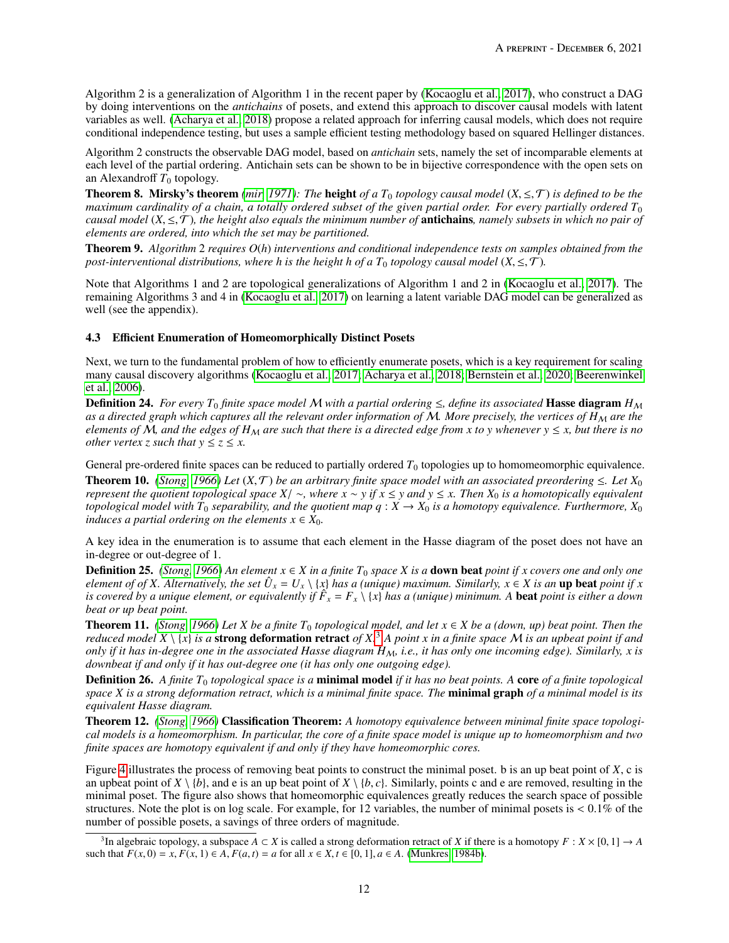Algorithm 2 is a generalization of Algorithm 1 in the recent paper by [\(Kocaoglu et al., 2017\)](#page-16-1), who construct a DAG by doing interventions on the *antichains* of posets, and extend this approach to discover causal models with latent variables as well. [\(Acharya et al., 2018\)](#page-16-9) propose a related approach for inferring causal models, which does not require conditional independence testing, but uses a sample efficient testing methodology based on squared Hellinger distances.

Algorithm 2 constructs the observable DAG model, based on *antichain* sets, namely the set of incomparable elements at each level of the partial ordering. Antichain sets can be shown to be in bijective correspondence with the open sets on an Alexandroff  $T_0$  topology.

**Theorem 8. Mirsky's theorem** *[\(mir, 1971\)](#page-17-6): The height of a*  $T_0$  *topology causal model*  $(X, \leq, \mathcal{T})$  *is defined to be the maximum cardinality of a chain, a totally ordered subset of the given partial order. For every partially ordered*  $T_0$ *causal model* (*X*, <sup>≤</sup>,T)*, the height also equals the minimum number of* antichains*, namely subsets in which no pair of elements are ordered, into which the set may be partitioned.*

Theorem 9. *Algorithm* 2 *requires O*(*h*) *interventions and conditional independence tests on samples obtained from the post-interventional distributions, where h is the height h of a*  $T_0$  *topology causal model*  $(X, \leq, \mathcal{T})$ *.* 

Note that Algorithms 1 and 2 are topological generalizations of Algorithm 1 and 2 in [\(Kocaoglu et al., 2017\)](#page-16-1). The remaining Algorithms 3 and 4 in [\(Kocaoglu et al., 2017\)](#page-16-1) on learning a latent variable DAG model can be generalized as well (see the appendix).

## 4.3 Efficient Enumeration of Homeomorphically Distinct Posets

Next, we turn to the fundamental problem of how to efficiently enumerate posets, which is a key requirement for scaling many causal discovery algorithms [\(Kocaoglu et al., 2017;](#page-16-1) [Acharya et al., 2018;](#page-16-9) [Bernstein et al., 2020;](#page-16-4) [Beerenwinkel](#page-16-14) [et al., 2006\)](#page-16-14).

**Definition 24.** *For every*  $T_0$  *finite space model* M *with a partial ordering*  $\leq$ *, define its associated* **Hasse diagram**  $H_M$ *as a directed graph which captures all the relevant order information of M. More precisely, the vertices of H<sub>M</sub> are the elements of*  $M$ , and the edges of  $H_M$  are such that there is a directed edge from x to y whenever  $y \le x$ , but there is no *other vertex z such that*  $y \le z \le x$ .

General pre-ordered finite spaces can be reduced to partially ordered  $T_0$  topologies up to homomeomorphic equivalence. **Theorem 10.** *[\(Stong, 1966\)](#page-16-6) Let*  $(X, \mathcal{T})$  *be an arbitrary finite space model with an associated preordering*  $\leq$ . Let  $X_0$ *represent the quotient topological space*  $X/\sim$ , where  $x \sim y$  *if*  $x \leq y$  *and*  $y \leq x$ . Then  $X_0$  *is a homotopically equivalent topological model with*  $T_0$  *separability, and the quotient map*  $q: X \to X_0$  *is a homotopy equivalence. Furthermore,*  $X_0$ *induces a partial ordering on the elements*  $x \in X_0$ *.* 

A key idea in the enumeration is to assume that each element in the Hasse diagram of the poset does not have an in-degree or out-degree of 1.

**Definition 25.** *[\(Stong, 1966\)](#page-16-6) An element*  $x \in X$  *in a finite*  $T_0$  *space*  $X$  *is a* **down beat** *point if*  $x$  *covers one and only one element of of X*. Alternatively, the set  $\hat{U}_x = U_x \setminus \{x\}$  has a (unique) maximum. Similarly,  $x \in X$  is an **up beat** point if x *is covered by a unique element, or equivalently if F*ˆ *<sup>x</sup>* = *F<sup>x</sup>* \ {*x*} *has a (unique) minimum. A* beat *point is either a down beat or up beat point.*

**Theorem 11.** *[\(Stong, 1966\)](#page-16-6) Let X be a finite*  $T_0$  *topological model, and let*  $x \in X$  *be a (down, up) beat point. Then the reduced model X* \ {*x*} *is a* strong deformation retract *of X.* [3](#page-11-0) *A point x in a finite space* M *is an upbeat point if and only if it has in-degree one in the associated Hasse diagram*  $H_M$ , *i.e., it has only one incoming edge). Similarly, x is downbeat if and only if it has out-degree one (it has only one outgoing edge).*

Definition 26. *A finite T*<sup>0</sup> *topological space is a* minimal model *if it has no beat points. A* core *of a finite topological space X is a strong deformation retract, which is a minimal finite space. The* minimal graph *of a minimal model is its equivalent Hasse diagram.*

Theorem 12. *[\(Stong, 1966\)](#page-16-6)* Classification Theorem: *A homotopy equivalence between minimal finite space topological models is a homeomorphism. In particular, the core of a finite space model is unique up to homeomorphism and two finite spaces are homotopy equivalent if and only if they have homeomorphic cores.*

Figure [4](#page-12-0) illustrates the process of removing beat points to construct the minimal poset. b is an up beat point of *X*, c is an upbeat point of  $X \setminus \{b\}$ , and e is an up beat point of  $X \setminus \{b, c\}$ . Similarly, points c and e are removed, resulting in the minimal poset. The figure also shows that homeomorphic equivalences greatly reduces the search space of possible structures. Note the plot is on log scale. For example, for 12 variables, the number of minimal posets is  $\lt 0.1\%$  of the number of possible posets, a savings of three orders of magnitude.

<span id="page-11-0"></span><sup>&</sup>lt;sup>3</sup>In algebraic topology, a subspace *A* ⊂ *X* is called a strong deformation retract of *X* if there is a homotopy *F* : *X* × [0, 1] → *A* h h hat *F*(*x* 0) = *x F*(*x* 1) ∈ *A F*(*a t*) = *a* for all *x* ∈ *X t* such that  $F(x, 0) = x, F(x, 1) \in A, F(a, t) = a$  for all  $x \in X, t \in [0, 1], a \in A$ . [\(Munkres, 1984b\)](#page-17-7).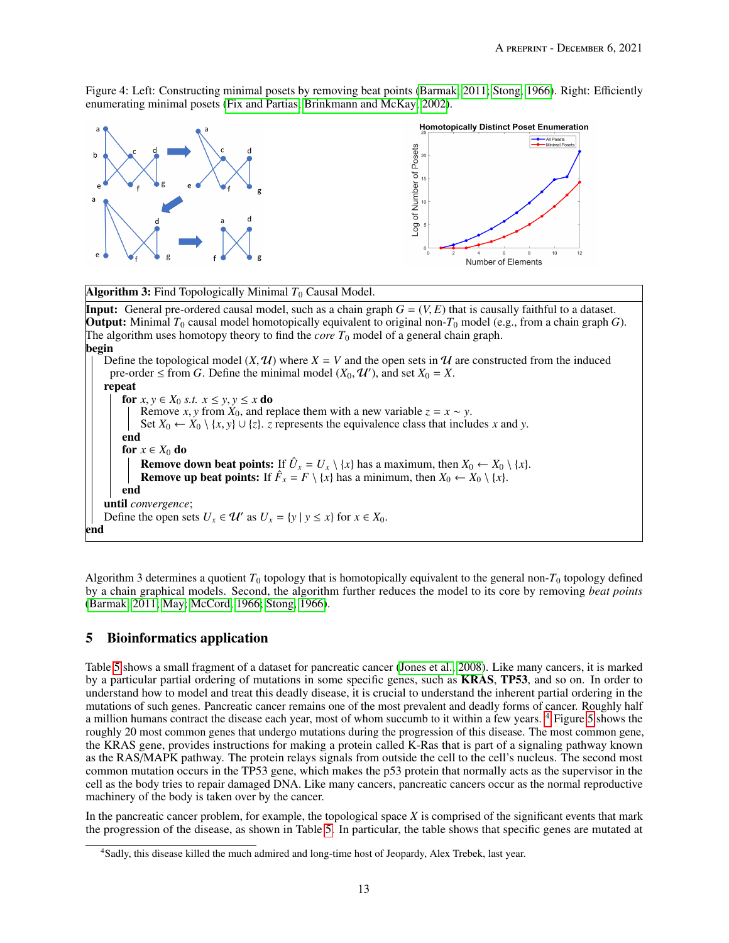<span id="page-12-0"></span>Figure 4: Left: Constructing minimal posets by removing beat points [\(Barmak, 2011;](#page-15-14) [Stong, 1966\)](#page-16-6). Right: Efficiently enumerating minimal posets [\(Fix and Partias;](#page-17-8) [Brinkmann and McKay, 2002\)](#page-17-9).



**Algorithm 3:** Find Topologically Minimal  $T_0$  Causal Model.

**Input:** General pre-ordered causal model, such as a chain graph  $G = (V, E)$  that is causally faithful to a dataset. **Output:** Minimal  $T_0$  causal model homotopically equivalent to original non- $T_0$  model (e.g., from a chain graph *G*). The algorithm uses homotopy theory to find the *core*  $T_0$  model of a general chain graph. begin Define the topological model  $(X, \mathcal{U})$  where  $X = V$  and the open sets in  $\mathcal{U}$  are constructed from the induced pre-order  $\leq$  from *G*. Define the minimal model  $(X_0, \mathcal{U}')$ , and set  $X_0 = X$ . repeat for  $x, y \in X_0$  *s.t.*  $x \le y, y \le x$  do Remove *x*, *y* from  $\hat{X}_0$ , and replace them with a new variable  $z = x \sim y$ . Set *X*<sub>0</sub> ← *X*<sub>0</sub> \ {*x*, *y*} ∪ {*z*}. *z* represents the equivalence class that includes *x* and *y*. end for  $x \in X_0$  do **Remove down beat points:** If  $\hat{U}_x = U_x \setminus \{x\}$  has a maximum, then  $X_0 \leftarrow X_0 \setminus \{x\}$ . **Remove up beat points:** If  $\hat{F}_x = F \setminus \{x\}$  has a minimum, then  $X_0 \leftarrow X_0 \setminus \{x\}$ . end until *convergence*; Define the open sets  $U_x \in \mathcal{U}'$  as  $U_x = \{y \mid y \leq x\}$  for  $x \in X_0$ . end

Algorithm 3 determines a quotient  $T_0$  topology that is homotopically equivalent to the general non- $T_0$  topology defined by a chain graphical models. Second, the algorithm further reduces the model to its core by removing *beat points* [\(Barmak, 2011;](#page-15-14) [May;](#page-15-17) [McCord, 1966;](#page-16-5) [Stong, 1966\)](#page-16-6).

# 5 Bioinformatics application

Table [5](#page-13-0) shows a small fragment of a dataset for pancreatic cancer [\(Jones et al., 2008\)](#page-16-7). Like many cancers, it is marked by a particular partial ordering of mutations in some specific genes, such as KRAS, TP53, and so on. In order to understand how to model and treat this deadly disease, it is crucial to understand the inherent partial ordering in the mutations of such genes. Pancreatic cancer remains one of the most prevalent and deadly forms of cancer. Roughly half a million humans contract the disease each year, most of whom succumb to it within a few years. [4](#page-12-1) Figure [5](#page-13-0) shows the roughly 20 most common genes that undergo mutations during the progression of this disease. The most common gene, the KRAS gene, provides instructions for making a protein called K-Ras that is part of a signaling pathway known as the RAS/MAPK pathway. The protein relays signals from outside the cell to the cell's nucleus. The second most common mutation occurs in the TP53 gene, which makes the p53 protein that normally acts as the supervisor in the cell as the body tries to repair damaged DNA. Like many cancers, pancreatic cancers occur as the normal reproductive machinery of the body is taken over by the cancer.

In the pancreatic cancer problem, for example, the topological space *X* is comprised of the significant events that mark the progression of the disease, as shown in Table [5.](#page-13-0) In particular, the table shows that specific genes are mutated at

<span id="page-12-1"></span><sup>4</sup>Sadly, this disease killed the much admired and long-time host of Jeopardy, Alex Trebek, last year.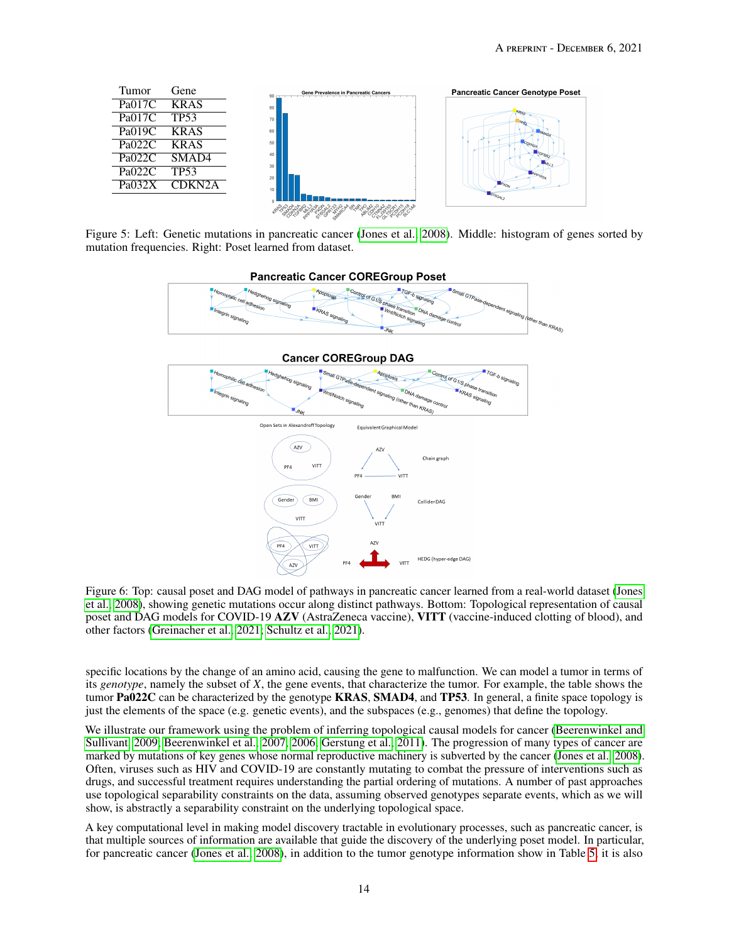<span id="page-13-0"></span>

Figure 5: Left: Genetic mutations in pancreatic cancer [\(Jones et al., 2008\)](#page-16-7). Middle: histogram of genes sorted by mutation frequencies. Right: Poset learned from dataset.



Figure 6: Top: causal poset and DAG model of pathways in pancreatic cancer learned from a real-world dataset [\(Jones](#page-16-7) [et al., 2008\)](#page-16-7), showing genetic mutations occur along distinct pathways. Bottom: Topological representation of causal poset and DAG models for COVID-19 AZV (AstraZeneca vaccine), VITT (vaccine-induced clotting of blood), and other factors [\(Greinacher et al., 2021;](#page-16-10) [Schultz et al., 2021\)](#page-16-11).

specific locations by the change of an amino acid, causing the gene to malfunction. We can model a tumor in terms of its *genotype*, namely the subset of *X*, the gene events, that characterize the tumor. For example, the table shows the tumor Pa022C can be characterized by the genotype KRAS, SMAD4, and TP53. In general, a finite space topology is just the elements of the space (e.g. genetic events), and the subspaces (e.g., genomes) that define the topology.

We illustrate our framework using the problem of inferring topological causal models for cancer [\(Beerenwinkel and](#page-15-19) [Sullivant, 2009;](#page-15-19) [Beerenwinkel et al., 2007,](#page-16-8) [2006;](#page-16-14) [Gerstung et al., 2011\)](#page-17-0). The progression of many types of cancer are marked by mutations of key genes whose normal reproductive machinery is subverted by the cancer [\(Jones et al., 2008\)](#page-16-7). Often, viruses such as HIV and COVID-19 are constantly mutating to combat the pressure of interventions such as drugs, and successful treatment requires understanding the partial ordering of mutations. A number of past approaches use topological separability constraints on the data, assuming observed genotypes separate events, which as we will show, is abstractly a separability constraint on the underlying topological space.

A key computational level in making model discovery tractable in evolutionary processes, such as pancreatic cancer, is that multiple sources of information are available that guide the discovery of the underlying poset model. In particular, for pancreatic cancer [\(Jones et al., 2008\)](#page-16-7), in addition to the tumor genotype information show in Table [5,](#page-13-0) it is also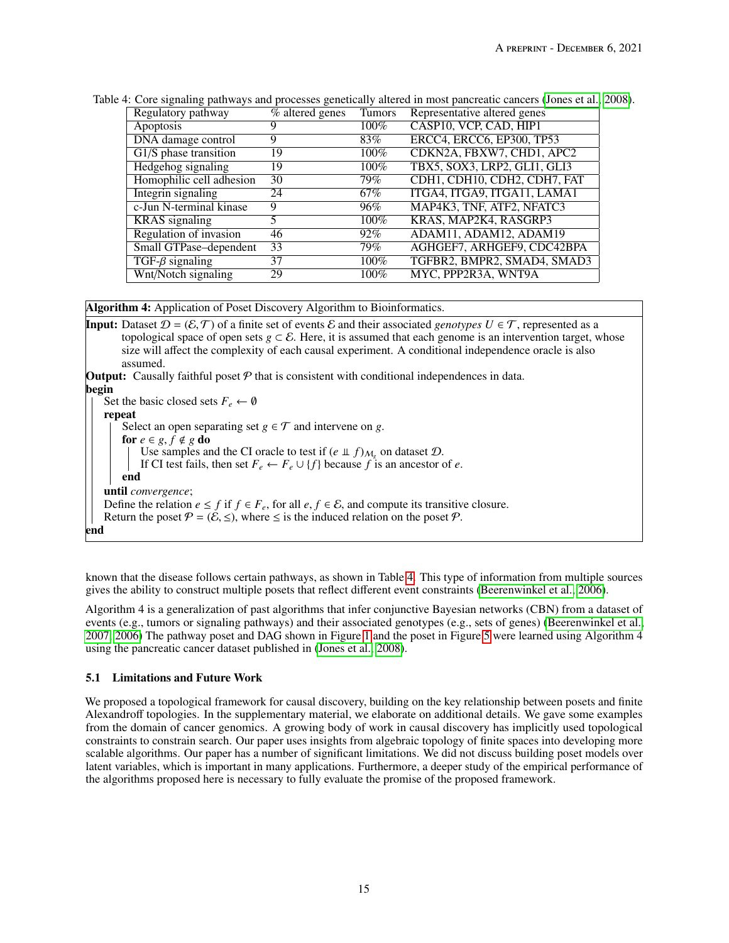| Regulatory pathway       | $\overline{\%}$ altered genes | <b>Tumors</b>     | Representative altered genes |
|--------------------------|-------------------------------|-------------------|------------------------------|
| Apoptosis                |                               | $100\%$           | CASP10, VCP, CAD, HIP1       |
| DNA damage control       |                               | 83%               | ERCC4, ERCC6, EP300, TP53    |
| $G1/S$ phase transition  | 19                            | $100\%$           | CDKN2A, FBXW7, CHD1, APC2    |
| Hedgehog signaling       | 19                            | $100\%$           | TBX5, SOX3, LRP2, GLI1, GLI3 |
| Homophilic cell adhesion | 30                            | 79%               | CDH1, CDH10, CDH2, CDH7, FAT |
| Integrin signaling       | 24                            | 67%               | ITGA4, ITGA9, ITGA11, LAMA1  |
| c-Jun N-terminal kinase  | 9                             | 96%               | MAP4K3, TNF, ATF2, NFATC3    |
| <b>KRAS</b> signaling    |                               | 100%              | KRAS, MAP2K4, RASGRP3        |
| Regulation of invasion   | 46                            | 92%               | ADAM11, ADAM12, ADAM19       |
| Small GTPase-dependent   | 33                            | $\overline{79\%}$ | AGHGEF7, ARHGEF9, CDC42BPA   |
| $TGF-\beta signaling$    | 37                            | 100%              | TGFBR2, BMPR2, SMAD4, SMAD3  |
| Wnt/Notch signaling      | 29                            | 100%              | MYC, PPP2R3A, WNT9A          |

<span id="page-14-0"></span>Table 4: Core signaling pathways and processes genetically altered in most pancreatic cancers [\(Jones et al., 2008\)](#page-16-7).

Algorithm 4: Application of Poset Discovery Algorithm to Bioinformatics.

**Input:** Dataset  $\mathcal{D} = (\mathcal{E}, \mathcal{T})$  of a finite set of events  $\mathcal{E}$  and their associated *genotypes*  $U \in \mathcal{T}$ , represented as a topological space of open sets  $g \subset \mathcal{E}$ . Here, it is assumed that each genome is an intervention target, whose size will affect the complexity of each causal experiment. A conditional independence oracle is also assumed. **Output:** Causally faithful poset  $P$  that is consistent with conditional independences in data. begin Set the basic closed sets  $F_e \leftarrow \emptyset$ repeat Select an open separating set  $g \in \mathcal{T}$  and intervene on *g*. for  $e \in g, f \notin g$  do Use samples and the CI oracle to test if  $(e \perp f)_{M_g}$  on dataset  $\mathcal{D}$ . If CI test fails, then set  $F_e \leftarrow F_e \cup \{f\}$  because  $f$  is an ancestor of  $e$ . end until *convergence*; Define the relation  $e \leq f$  if  $f \in F_e$ , for all  $e, f \in \mathcal{E}$ , and compute its transitive closure. Return the poset  $P = (\mathcal{E}, \leq)$ , where  $\leq$  is the induced relation on the poset  $P$ . end

known that the disease follows certain pathways, as shown in Table [4.](#page-14-0) This type of information from multiple sources gives the ability to construct multiple posets that reflect different event constraints [\(Beerenwinkel et al., 2006\)](#page-16-14).

Algorithm 4 is a generalization of past algorithms that infer conjunctive Bayesian networks (CBN) from a dataset of events (e.g., tumors or signaling pathways) and their associated genotypes (e.g., sets of genes) [\(Beerenwinkel et al.,](#page-16-8) [2007,](#page-16-8) [2006\)](#page-16-14) The pathway poset and DAG shown in Figure [1](#page-4-0) and the poset in Figure [5](#page-13-0) were learned using Algorithm 4 using the pancreatic cancer dataset published in [\(Jones et al., 2008\)](#page-16-7).

# 5.1 Limitations and Future Work

We proposed a topological framework for causal discovery, building on the key relationship between posets and finite Alexandroff topologies. In the supplementary material, we elaborate on additional details. We gave some examples from the domain of cancer genomics. A growing body of work in causal discovery has implicitly used topological constraints to constrain search. Our paper uses insights from algebraic topology of finite spaces into developing more scalable algorithms. Our paper has a number of significant limitations. We did not discuss building poset models over latent variables, which is important in many applications. Furthermore, a deeper study of the empirical performance of the algorithms proposed here is necessary to fully evaluate the promise of the proposed framework.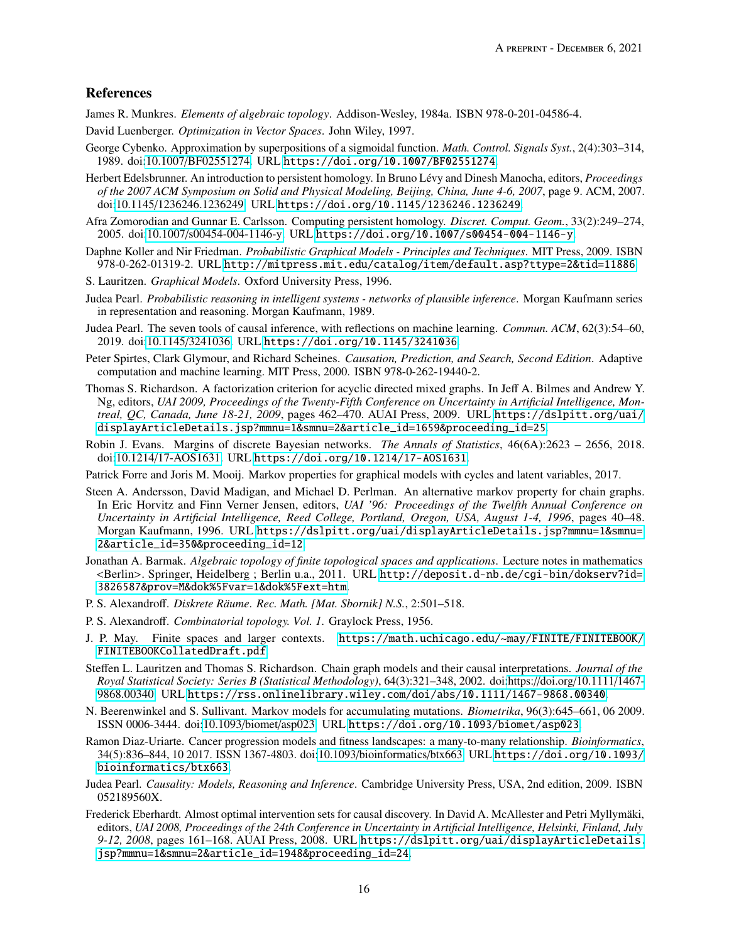# References

<span id="page-15-0"></span>James R. Munkres. *Elements of algebraic topology*. Addison-Wesley, 1984a. ISBN 978-0-201-04586-4.

- <span id="page-15-1"></span>David Luenberger. *Optimization in Vector Spaces*. John Wiley, 1997.
- <span id="page-15-2"></span>George Cybenko. Approximation by superpositions of a sigmoidal function. *Math. Control. Signals Syst.*, 2(4):303–314, 1989. doi:10.1007/[BF02551274.](https://doi.org/10.1007/BF02551274) URL <https://doi.org/10.1007/BF02551274>.

<span id="page-15-3"></span>Herbert Edelsbrunner. An introduction to persistent homology. In Bruno Lévy and Dinesh Manocha, editors, *Proceedings of the 2007 ACM Symposium on Solid and Physical Modeling, Beijing, China, June 4-6, 2007*, page 9. ACM, 2007. doi:10.1145/[1236246.1236249.](https://doi.org/10.1145/1236246.1236249) URL <https://doi.org/10.1145/1236246.1236249>.

<span id="page-15-4"></span>Afra Zomorodian and Gunnar E. Carlsson. Computing persistent homology. *Discret. Comput. Geom.*, 33(2):249–274, 2005. doi:10.1007/[s00454-004-1146-y.](https://doi.org/10.1007/s00454-004-1146-y) URL <https://doi.org/10.1007/s00454-004-1146-y>.

<span id="page-15-5"></span>Daphne Koller and Nir Friedman. *Probabilistic Graphical Models - Principles and Techniques*. MIT Press, 2009. ISBN 978-0-262-01319-2. URL <http://mitpress.mit.edu/catalog/item/default.asp?ttype=2&tid=11886>.

- <span id="page-15-6"></span>S. Lauritzen. *Graphical Models*. Oxford University Press, 1996.
- <span id="page-15-7"></span>Judea Pearl. *Probabilistic reasoning in intelligent systems - networks of plausible inference*. Morgan Kaufmann series in representation and reasoning. Morgan Kaufmann, 1989.
- <span id="page-15-8"></span>Judea Pearl. The seven tools of causal inference, with reflections on machine learning. *Commun. ACM*, 62(3):54–60, 2019. doi:10.1145/[3241036.](https://doi.org/10.1145/3241036) URL <https://doi.org/10.1145/3241036>.
- <span id="page-15-9"></span>Peter Spirtes, Clark Glymour, and Richard Scheines. *Causation, Prediction, and Search, Second Edition*. Adaptive computation and machine learning. MIT Press, 2000. ISBN 978-0-262-19440-2.
- <span id="page-15-10"></span>Thomas S. Richardson. A factorization criterion for acyclic directed mixed graphs. In Jeff A. Bilmes and Andrew Y. Ng, editors, *UAI 2009, Proceedings of the Twenty-Fifth Conference on Uncertainty in Artificial Intelligence, Montreal, QC, Canada, June 18-21, 2009*, pages 462–470. AUAI Press, 2009. URL [https://dslpitt.org/uai/](https://dslpitt.org/uai/displayArticleDetails.jsp?mmnu=1&smnu=2&article_id=1659&proceeding_id=25) [displayArticleDetails.jsp?mmnu=1&smnu=2&article\\_id=1659&proceeding\\_id=25](https://dslpitt.org/uai/displayArticleDetails.jsp?mmnu=1&smnu=2&article_id=1659&proceeding_id=25).
- <span id="page-15-11"></span>Robin J. Evans. Margins of discrete Bayesian networks. *The Annals of Statistics*, 46(6A):2623 – 2656, 2018. doi:10.1214/[17-AOS1631.](https://doi.org/10.1214/17-AOS1631) URL <https://doi.org/10.1214/17-AOS1631>.

<span id="page-15-12"></span>Patrick Forre and Joris M. Mooij. Markov properties for graphical models with cycles and latent variables, 2017.

- <span id="page-15-13"></span>Steen A. Andersson, David Madigan, and Michael D. Perlman. An alternative markov property for chain graphs. In Eric Horvitz and Finn Verner Jensen, editors, *UAI '96: Proceedings of the Twelfth Annual Conference on Uncertainty in Artificial Intelligence, Reed College, Portland, Oregon, USA, August 1-4, 1996*, pages 40–48. Morgan Kaufmann, 1996. URL [https://dslpitt.org/uai/displayArticleDetails.jsp?mmnu=1&smnu=](https://dslpitt.org/uai/displayArticleDetails.jsp?mmnu=1&smnu=2&article_id=350&proceeding_id=12) [2&article\\_id=350&proceeding\\_id=12](https://dslpitt.org/uai/displayArticleDetails.jsp?mmnu=1&smnu=2&article_id=350&proceeding_id=12).
- <span id="page-15-14"></span>Jonathan A. Barmak. *Algebraic topology of finite topological spaces and applications*. Lecture notes in mathematics <Berlin>. Springer, Heidelberg ; Berlin u.a., 2011. URL [http://deposit.d-nb.de/cgi-bin/dokserv?id=](http://deposit.d-nb.de/cgi-bin/dokserv?id=3826587&prov=M&dok%5Fvar=1&dok%5Fext=htm) [3826587&prov=M&dok%5Fvar=1&dok%5Fext=htm](http://deposit.d-nb.de/cgi-bin/dokserv?id=3826587&prov=M&dok%5Fvar=1&dok%5Fext=htm).
- <span id="page-15-15"></span>P. S. Alexandroff. *Diskrete Räume*. *Rec. Math. [Mat. Sbornik] N.S.*, 2:501–518.
- <span id="page-15-16"></span>P. S. Alexandroff. *Combinatorial topology. Vol. 1*. Graylock Press, 1956.
- <span id="page-15-17"></span>J. P. May. Finite spaces and larger contexts. [https://math.uchicago.edu/~may/FINITE/FINITEBOOK/](https://math.uchicago.edu/~may/FINITE/FINITEBOOK/FINITEBOOKCollatedDraft.pdf) [FINITEBOOKCollatedDraft.pdf](https://math.uchicago.edu/~may/FINITE/FINITEBOOK/FINITEBOOKCollatedDraft.pdf).
- <span id="page-15-18"></span>Steffen L. Lauritzen and Thomas S. Richardson. Chain graph models and their causal interpretations. *Journal of the Royal Statistical Society: Series B (Statistical Methodology)*, 64(3):321–348, 2002. doi:https://doi.org/[10.1111](https://doi.org/https://doi.org/10.1111/1467-9868.00340)/1467- [9868.00340.](https://doi.org/https://doi.org/10.1111/1467-9868.00340) URL <https://rss.onlinelibrary.wiley.com/doi/abs/10.1111/1467-9868.00340>.
- <span id="page-15-19"></span>N. Beerenwinkel and S. Sullivant. Markov models for accumulating mutations. *Biometrika*, 96(3):645–661, 06 2009. ISSN 0006-3444. doi[:10.1093](https://doi.org/10.1093/biomet/asp023)/biomet/asp023. URL <https://doi.org/10.1093/biomet/asp023>.
- <span id="page-15-20"></span>Ramon Diaz-Uriarte. Cancer progression models and fitness landscapes: a many-to-many relationship. *Bioinformatics*, 34(5):836–844, 10 2017. ISSN 1367-4803. doi:10.1093/[bioinformatics](https://doi.org/10.1093/bioinformatics/btx663)/btx663. URL [https://doi.org/10.1093/](https://doi.org/10.1093/bioinformatics/btx663) [bioinformatics/btx663](https://doi.org/10.1093/bioinformatics/btx663).
- <span id="page-15-21"></span>Judea Pearl. *Causality: Models, Reasoning and Inference*. Cambridge University Press, USA, 2nd edition, 2009. ISBN 052189560X.
- <span id="page-15-22"></span>Frederick Eberhardt. Almost optimal intervention sets for causal discovery. In David A. McAllester and Petri Myllymäki, editors, *UAI 2008, Proceedings of the 24th Conference in Uncertainty in Artificial Intelligence, Helsinki, Finland, July 9-12, 2008*, pages 161–168. AUAI Press, 2008. URL [https://dslpitt.org/uai/displayArticleDetails.](https://dslpitt.org/uai/displayArticleDetails.jsp?mmnu=1&smnu=2&article_id=1948&proceeding_id=24) [jsp?mmnu=1&smnu=2&article\\_id=1948&proceeding\\_id=24](https://dslpitt.org/uai/displayArticleDetails.jsp?mmnu=1&smnu=2&article_id=1948&proceeding_id=24).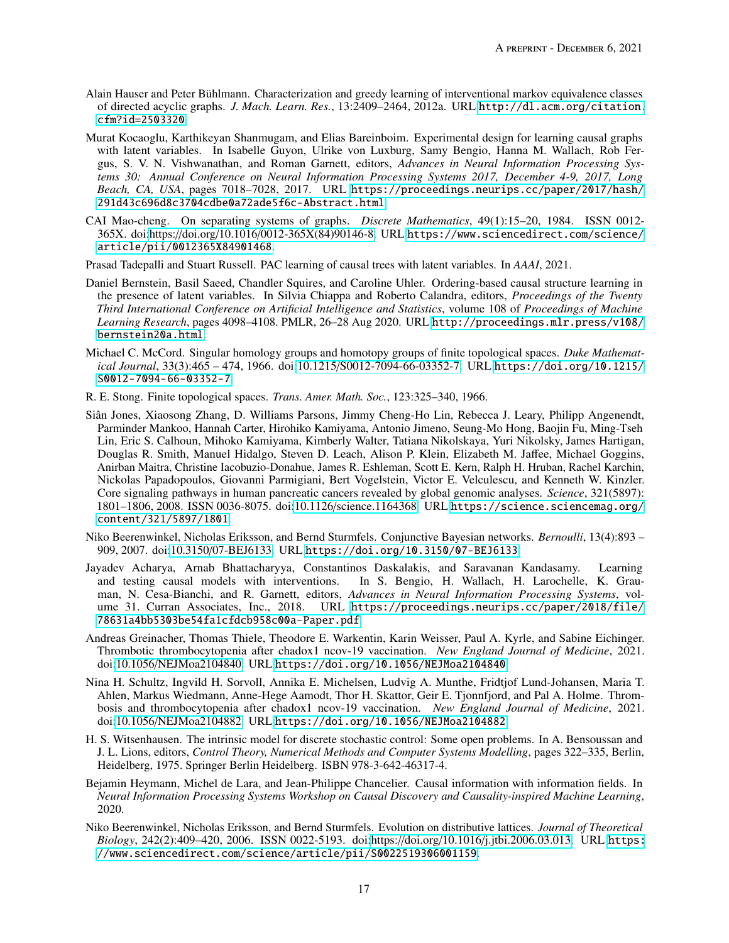- <span id="page-16-0"></span>Alain Hauser and Peter Bühlmann. Characterization and greedy learning of interventional markov equivalence classes of directed acyclic graphs. *J. Mach. Learn. Res.*, 13:2409–2464, 2012a. URL [http://dl.acm.org/citation.](http://dl.acm.org/citation.cfm?id=2503320) [cfm?id=2503320](http://dl.acm.org/citation.cfm?id=2503320).
- <span id="page-16-1"></span>Murat Kocaoglu, Karthikeyan Shanmugam, and Elias Bareinboim. Experimental design for learning causal graphs with latent variables. In Isabelle Guyon, Ulrike von Luxburg, Samy Bengio, Hanna M. Wallach, Rob Fergus, S. V. N. Vishwanathan, and Roman Garnett, editors, *Advances in Neural Information Processing Systems 30: Annual Conference on Neural Information Processing Systems 2017, December 4-9, 2017, Long Beach, CA, USA*, pages 7018–7028, 2017. URL [https://proceedings.neurips.cc/paper/2017/hash/](https://proceedings.neurips.cc/paper/2017/hash/291d43c696d8c3704cdbe0a72ade5f6c-Abstract.html) [291d43c696d8c3704cdbe0a72ade5f6c-Abstract.html](https://proceedings.neurips.cc/paper/2017/hash/291d43c696d8c3704cdbe0a72ade5f6c-Abstract.html).
- <span id="page-16-2"></span>CAI Mao-cheng. On separating systems of graphs. *Discrete Mathematics*, 49(1):15–20, 1984. ISSN 0012- 365X. doi:https://doi.org/10.1016/[0012-365X\(84\)90146-8.](https://doi.org/https://doi.org/10.1016/0012-365X(84)90146-8) URL [https://www.sciencedirect.com/science/](https://www.sciencedirect.com/science/article/pii/0012365X84901468) [article/pii/0012365X84901468](https://www.sciencedirect.com/science/article/pii/0012365X84901468).
- <span id="page-16-3"></span>Prasad Tadepalli and Stuart Russell. PAC learning of causal trees with latent variables. In *AAAI*, 2021.
- <span id="page-16-4"></span>Daniel Bernstein, Basil Saeed, Chandler Squires, and Caroline Uhler. Ordering-based causal structure learning in the presence of latent variables. In Silvia Chiappa and Roberto Calandra, editors, *Proceedings of the Twenty Third International Conference on Artificial Intelligence and Statistics*, volume 108 of *Proceedings of Machine Learning Research*, pages 4098–4108. PMLR, 26–28 Aug 2020. URL [http://proceedings.mlr.press/v108/](http://proceedings.mlr.press/v108/bernstein20a.html) [bernstein20a.html](http://proceedings.mlr.press/v108/bernstein20a.html).
- <span id="page-16-5"></span>Michael C. McCord. Singular homology groups and homotopy groups of finite topological spaces. *Duke Mathematical Journal*, 33(3):465 – 474, 1966. doi:10.1215/[S0012-7094-66-03352-7.](https://doi.org/10.1215/S0012-7094-66-03352-7) URL [https://doi.org/10.1215/](https://doi.org/10.1215/S0012-7094-66-03352-7) [S0012-7094-66-03352-7](https://doi.org/10.1215/S0012-7094-66-03352-7).
- <span id="page-16-6"></span>R. E. Stong. Finite topological spaces. *Trans. Amer. Math. Soc.*, 123:325–340, 1966.
- <span id="page-16-7"></span>Siân Jones, Xiaosong Zhang, D. Williams Parsons, Jimmy Cheng-Ho Lin, Rebecca J. Leary, Philipp Angenendt, Parminder Mankoo, Hannah Carter, Hirohiko Kamiyama, Antonio Jimeno, Seung-Mo Hong, Baojin Fu, Ming-Tseh Lin, Eric S. Calhoun, Mihoko Kamiyama, Kimberly Walter, Tatiana Nikolskaya, Yuri Nikolsky, James Hartigan, Douglas R. Smith, Manuel Hidalgo, Steven D. Leach, Alison P. Klein, Elizabeth M. Jaffee, Michael Goggins, Anirban Maitra, Christine Iacobuzio-Donahue, James R. Eshleman, Scott E. Kern, Ralph H. Hruban, Rachel Karchin, Nickolas Papadopoulos, Giovanni Parmigiani, Bert Vogelstein, Victor E. Velculescu, and Kenneth W. Kinzler. Core signaling pathways in human pancreatic cancers revealed by global genomic analyses. *Science*, 321(5897): 1801–1806, 2008. ISSN 0036-8075. doi:10.1126/[science.1164368.](https://doi.org/10.1126/science.1164368) URL [https://science.sciencemag.org/](https://science.sciencemag.org/content/321/5897/1801) [content/321/5897/1801](https://science.sciencemag.org/content/321/5897/1801).
- <span id="page-16-8"></span>Niko Beerenwinkel, Nicholas Eriksson, and Bernd Sturmfels. Conjunctive Bayesian networks. *Bernoulli*, 13(4):893 – 909, 2007. doi:10.3150/[07-BEJ6133.](https://doi.org/10.3150/07-BEJ6133) URL <https://doi.org/10.3150/07-BEJ6133>.
- <span id="page-16-9"></span>Jayadev Acharya, Arnab Bhattacharyya, Constantinos Daskalakis, and Saravanan Kandasamy. Learning and testing causal models with interventions. In S. Bengio, H. Wallach, H. Larochelle, K. Grauman, N. Cesa-Bianchi, and R. Garnett, editors, *Advances in Neural Information Processing Systems*, volume 31. Curran Associates, Inc., 2018. URL [https://proceedings.neurips.cc/paper/2018/file/](https://proceedings.neurips.cc/paper/2018/file/78631a4bb5303be54fa1cfdcb958c00a-Paper.pdf) [78631a4bb5303be54fa1cfdcb958c00a-Paper.pdf](https://proceedings.neurips.cc/paper/2018/file/78631a4bb5303be54fa1cfdcb958c00a-Paper.pdf).
- <span id="page-16-10"></span>Andreas Greinacher, Thomas Thiele, Theodore E. Warkentin, Karin Weisser, Paul A. Kyrle, and Sabine Eichinger. Thrombotic thrombocytopenia after chadox1 ncov-19 vaccination. *New England Journal of Medicine*, 2021. doi:10.1056/[NEJMoa2104840.](https://doi.org/10.1056/NEJMoa2104840) URL <https://doi.org/10.1056/NEJMoa2104840>.
- <span id="page-16-11"></span>Nina H. Schultz, Ingvild H. Sorvoll, Annika E. Michelsen, Ludvig A. Munthe, Fridtjof Lund-Johansen, Maria T. Ahlen, Markus Wiedmann, Anne-Hege Aamodt, Thor H. Skattor, Geir E. Tjonnfjord, and Pal A. Holme. Thrombosis and thrombocytopenia after chadox1 ncov-19 vaccination. *New England Journal of Medicine*, 2021. doi:10.1056/[NEJMoa2104882.](https://doi.org/10.1056/NEJMoa2104882) URL <https://doi.org/10.1056/NEJMoa2104882>.
- <span id="page-16-12"></span>H. S. Witsenhausen. The intrinsic model for discrete stochastic control: Some open problems. In A. Bensoussan and J. L. Lions, editors, *Control Theory, Numerical Methods and Computer Systems Modelling*, pages 322–335, Berlin, Heidelberg, 1975. Springer Berlin Heidelberg. ISBN 978-3-642-46317-4.
- <span id="page-16-13"></span>Bejamin Heymann, Michel de Lara, and Jean-Philippe Chancelier. Causal information with information fields. In *Neural Information Processing Systems Workshop on Causal Discovery and Causality-inspired Machine Learning*, 2020.
- <span id="page-16-14"></span>Niko Beerenwinkel, Nicholas Eriksson, and Bernd Sturmfels. Evolution on distributive lattices. *Journal of Theoretical Biology*, 242(2):409–420, 2006. ISSN 0022-5193. doi:https://doi.org/10.1016/[j.jtbi.2006.03.013.](https://doi.org/https://doi.org/10.1016/j.jtbi.2006.03.013) URL [https:](https://www.sciencedirect.com/science/article/pii/S0022519306001159) [//www.sciencedirect.com/science/article/pii/S0022519306001159](https://www.sciencedirect.com/science/article/pii/S0022519306001159).